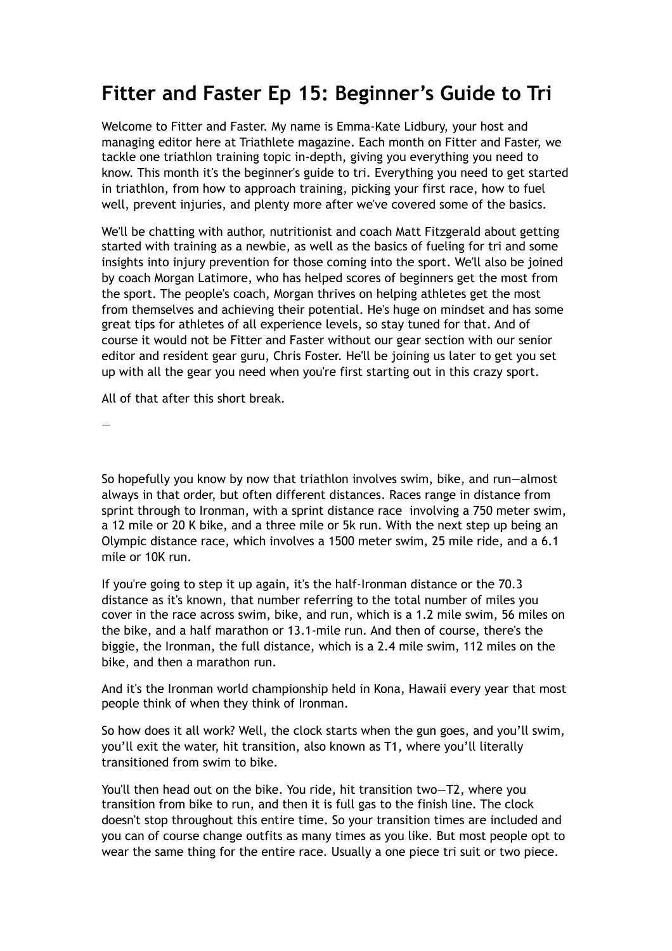## **Fitter and Faster Ep 15: Beginner's Guide to Tri**

Welcome to Fitter and Faster. My name is Emma-Kate Lidbury, your host and managing editor here at Triathlete magazine. Each month on Fitter and Faster, we tackle one triathlon training topic in-depth, giving you everything you need to know. This month it's the beginner's guide to tri. Everything you need to get started in triathlon, from how to approach training, picking your first race, how to fuel well, prevent injuries, and plenty more after we've covered some of the basics.

We'll be chatting with author, nutritionist and coach Matt Fitzgerald about getting started with training as a newbie, as well as the basics of fueling for tri and some insights into injury prevention for those coming into the sport. We'll also be joined by coach Morgan Latimore, who has helped scores of beginners get the most from the sport. The people's coach, Morgan thrives on helping athletes get the most from themselves and achieving their potential. He's huge on mindset and has some great tips for athletes of all experience levels, so stay tuned for that. And of course it would not be Fitter and Faster without our gear section with our senior editor and resident gear guru, Chris Foster. He'll be joining us later to get you set up with all the gear you need when you're first starting out in this crazy sport.

All of that after this short break.

—

So hopefully you know by now that triathlon involves swim, bike, and run—almost always in that order, but often different distances. Races range in distance from sprint through to Ironman, with a sprint distance race involving a 750 meter swim, a 12 mile or 20 K bike, and a three mile or 5k run. With the next step up being an Olympic distance race, which involves a 1500 meter swim, 25 mile ride, and a 6.1 mile or 10K run.

If you're going to step it up again, it's the half-Ironman distance or the 70.3 distance as it's known, that number referring to the total number of miles you cover in the race across swim, bike, and run, which is a 1.2 mile swim, 56 miles on the bike, and a half marathon or 13.1-mile run. And then of course, there's the biggie, the Ironman, the full distance, which is a 2.4 mile swim, 112 miles on the bike, and then a marathon run.

And it's the Ironman world championship held in Kona, Hawaii every year that most people think of when they think of Ironman.

So how does it all work? Well, the clock starts when the gun goes, and you'll swim, you'll exit the water, hit transition, also known as T1, where you'll literally transitioned from swim to bike.

You'll then head out on the bike. You ride, hit transition two—T2, where you transition from bike to run, and then it is full gas to the finish line. The clock doesn't stop throughout this entire time. So your transition times are included and you can of course change outfits as many times as you like. But most people opt to wear the same thing for the entire race. Usually a one piece tri suit or two piece.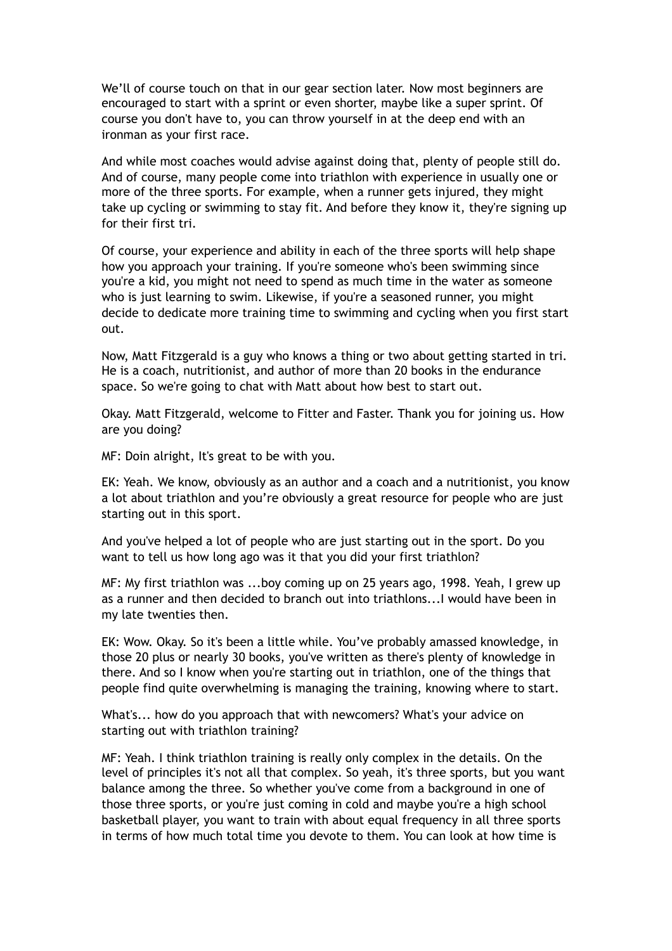We'll of course touch on that in our gear section later. Now most beginners are encouraged to start with a sprint or even shorter, maybe like a super sprint. Of course you don't have to, you can throw yourself in at the deep end with an ironman as your first race.

And while most coaches would advise against doing that, plenty of people still do. And of course, many people come into triathlon with experience in usually one or more of the three sports. For example, when a runner gets injured, they might take up cycling or swimming to stay fit. And before they know it, they're signing up for their first tri.

Of course, your experience and ability in each of the three sports will help shape how you approach your training. If you're someone who's been swimming since you're a kid, you might not need to spend as much time in the water as someone who is just learning to swim. Likewise, if you're a seasoned runner, you might decide to dedicate more training time to swimming and cycling when you first start out.

Now, Matt Fitzgerald is a guy who knows a thing or two about getting started in tri. He is a coach, nutritionist, and author of more than 20 books in the endurance space. So we're going to chat with Matt about how best to start out.

Okay. Matt Fitzgerald, welcome to Fitter and Faster. Thank you for joining us. How are you doing?

MF: Doin alright, It's great to be with you.

EK: Yeah. We know, obviously as an author and a coach and a nutritionist, you know a lot about triathlon and you're obviously a great resource for people who are just starting out in this sport.

And you've helped a lot of people who are just starting out in the sport. Do you want to tell us how long ago was it that you did your first triathlon?

MF: My first triathlon was ...boy coming up on 25 years ago, 1998. Yeah, I grew up as a runner and then decided to branch out into triathlons...I would have been in my late twenties then.

EK: Wow. Okay. So it's been a little while. You've probably amassed knowledge, in those 20 plus or nearly 30 books, you've written as there's plenty of knowledge in there. And so I know when you're starting out in triathlon, one of the things that people find quite overwhelming is managing the training, knowing where to start.

What's... how do you approach that with newcomers? What's your advice on starting out with triathlon training?

MF: Yeah. I think triathlon training is really only complex in the details. On the level of principles it's not all that complex. So yeah, it's three sports, but you want balance among the three. So whether you've come from a background in one of those three sports, or you're just coming in cold and maybe you're a high school basketball player, you want to train with about equal frequency in all three sports in terms of how much total time you devote to them. You can look at how time is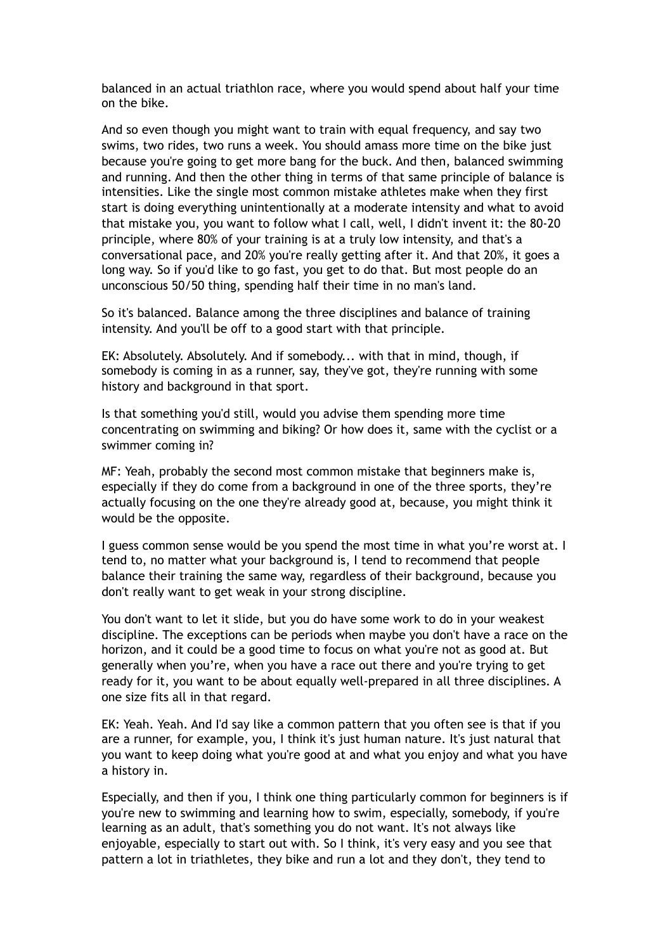balanced in an actual triathlon race, where you would spend about half your time on the bike.

And so even though you might want to train with equal frequency, and say two swims, two rides, two runs a week. You should amass more time on the bike just because you're going to get more bang for the buck. And then, balanced swimming and running. And then the other thing in terms of that same principle of balance is intensities. Like the single most common mistake athletes make when they first start is doing everything unintentionally at a moderate intensity and what to avoid that mistake you, you want to follow what I call, well, I didn't invent it: the 80-20 principle, where 80% of your training is at a truly low intensity, and that's a conversational pace, and 20% you're really getting after it. And that 20%, it goes a long way. So if you'd like to go fast, you get to do that. But most people do an unconscious 50/50 thing, spending half their time in no man's land.

So it's balanced. Balance among the three disciplines and balance of training intensity. And you'll be off to a good start with that principle.

EK: Absolutely. Absolutely. And if somebody... with that in mind, though, if somebody is coming in as a runner, say, they've got, they're running with some history and background in that sport.

Is that something you'd still, would you advise them spending more time concentrating on swimming and biking? Or how does it, same with the cyclist or a swimmer coming in?

MF: Yeah, probably the second most common mistake that beginners make is, especially if they do come from a background in one of the three sports, they're actually focusing on the one they're already good at, because, you might think it would be the opposite.

I guess common sense would be you spend the most time in what you're worst at. I tend to, no matter what your background is, I tend to recommend that people balance their training the same way, regardless of their background, because you don't really want to get weak in your strong discipline.

You don't want to let it slide, but you do have some work to do in your weakest discipline. The exceptions can be periods when maybe you don't have a race on the horizon, and it could be a good time to focus on what you're not as good at. But generally when you're, when you have a race out there and you're trying to get ready for it, you want to be about equally well-prepared in all three disciplines. A one size fits all in that regard.

EK: Yeah. Yeah. And I'd say like a common pattern that you often see is that if you are a runner, for example, you, I think it's just human nature. It's just natural that you want to keep doing what you're good at and what you enjoy and what you have a history in.

Especially, and then if you, I think one thing particularly common for beginners is if you're new to swimming and learning how to swim, especially, somebody, if you're learning as an adult, that's something you do not want. It's not always like enjoyable, especially to start out with. So I think, it's very easy and you see that pattern a lot in triathletes, they bike and run a lot and they don't, they tend to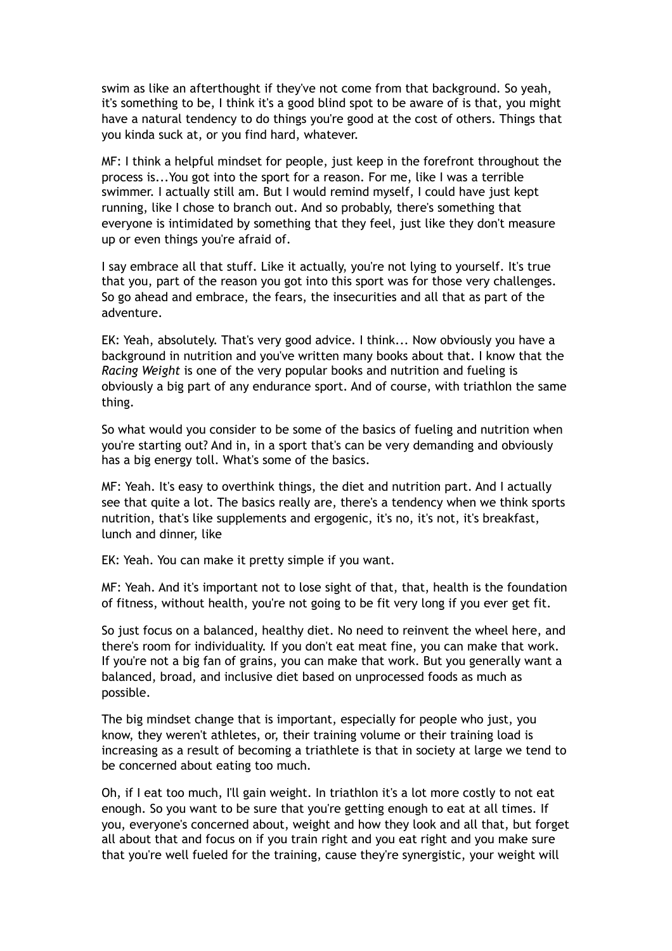swim as like an afterthought if they've not come from that background. So yeah, it's something to be, I think it's a good blind spot to be aware of is that, you might have a natural tendency to do things you're good at the cost of others. Things that you kinda suck at, or you find hard, whatever.

MF: I think a helpful mindset for people, just keep in the forefront throughout the process is...You got into the sport for a reason. For me, like I was a terrible swimmer. I actually still am. But I would remind myself, I could have just kept running, like I chose to branch out. And so probably, there's something that everyone is intimidated by something that they feel, just like they don't measure up or even things you're afraid of.

I say embrace all that stuff. Like it actually, you're not lying to yourself. It's true that you, part of the reason you got into this sport was for those very challenges. So go ahead and embrace, the fears, the insecurities and all that as part of the adventure.

EK: Yeah, absolutely. That's very good advice. I think... Now obviously you have a background in nutrition and you've written many books about that. I know that the *Racing Weight* is one of the very popular books and nutrition and fueling is obviously a big part of any endurance sport. And of course, with triathlon the same thing.

So what would you consider to be some of the basics of fueling and nutrition when you're starting out? And in, in a sport that's can be very demanding and obviously has a big energy toll. What's some of the basics.

MF: Yeah. It's easy to overthink things, the diet and nutrition part. And I actually see that quite a lot. The basics really are, there's a tendency when we think sports nutrition, that's like supplements and ergogenic, it's no, it's not, it's breakfast, lunch and dinner, like

EK: Yeah. You can make it pretty simple if you want.

MF: Yeah. And it's important not to lose sight of that, that, health is the foundation of fitness, without health, you're not going to be fit very long if you ever get fit.

So just focus on a balanced, healthy diet. No need to reinvent the wheel here, and there's room for individuality. If you don't eat meat fine, you can make that work. If you're not a big fan of grains, you can make that work. But you generally want a balanced, broad, and inclusive diet based on unprocessed foods as much as possible.

The big mindset change that is important, especially for people who just, you know, they weren't athletes, or, their training volume or their training load is increasing as a result of becoming a triathlete is that in society at large we tend to be concerned about eating too much.

Oh, if I eat too much, I'll gain weight. In triathlon it's a lot more costly to not eat enough. So you want to be sure that you're getting enough to eat at all times. If you, everyone's concerned about, weight and how they look and all that, but forget all about that and focus on if you train right and you eat right and you make sure that you're well fueled for the training, cause they're synergistic, your weight will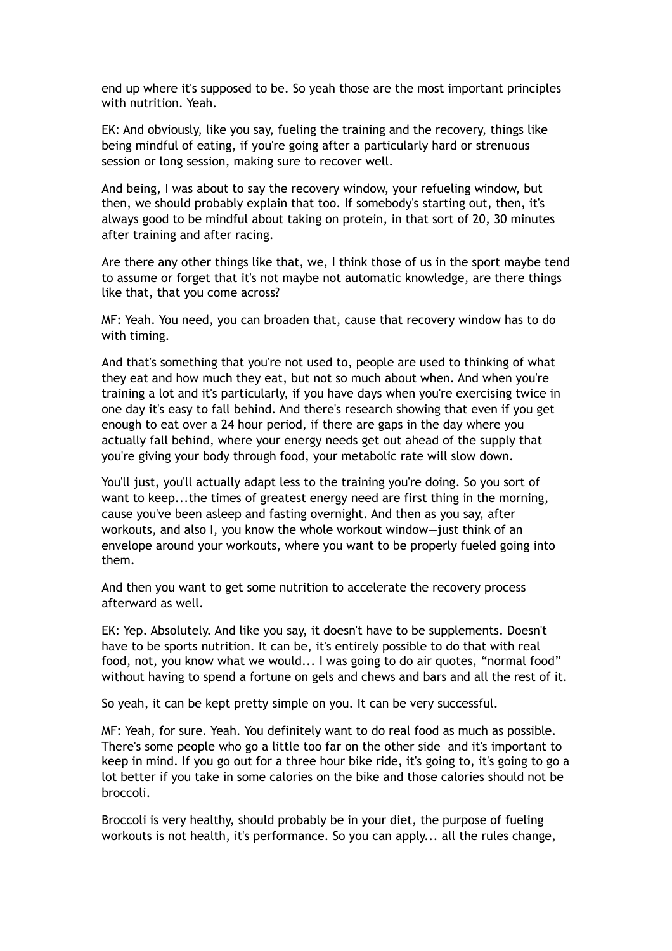end up where it's supposed to be. So yeah those are the most important principles with nutrition. Yeah.

EK: And obviously, like you say, fueling the training and the recovery, things like being mindful of eating, if you're going after a particularly hard or strenuous session or long session, making sure to recover well.

And being, I was about to say the recovery window, your refueling window, but then, we should probably explain that too. If somebody's starting out, then, it's always good to be mindful about taking on protein, in that sort of 20, 30 minutes after training and after racing.

Are there any other things like that, we, I think those of us in the sport maybe tend to assume or forget that it's not maybe not automatic knowledge, are there things like that, that you come across?

MF: Yeah. You need, you can broaden that, cause that recovery window has to do with timing.

And that's something that you're not used to, people are used to thinking of what they eat and how much they eat, but not so much about when. And when you're training a lot and it's particularly, if you have days when you're exercising twice in one day it's easy to fall behind. And there's research showing that even if you get enough to eat over a 24 hour period, if there are gaps in the day where you actually fall behind, where your energy needs get out ahead of the supply that you're giving your body through food, your metabolic rate will slow down.

You'll just, you'll actually adapt less to the training you're doing. So you sort of want to keep...the times of greatest energy need are first thing in the morning, cause you've been asleep and fasting overnight. And then as you say, after workouts, and also I, you know the whole workout window—just think of an envelope around your workouts, where you want to be properly fueled going into them.

And then you want to get some nutrition to accelerate the recovery process afterward as well.

EK: Yep. Absolutely. And like you say, it doesn't have to be supplements. Doesn't have to be sports nutrition. It can be, it's entirely possible to do that with real food, not, you know what we would... I was going to do air quotes, "normal food" without having to spend a fortune on gels and chews and bars and all the rest of it.

So yeah, it can be kept pretty simple on you. It can be very successful.

MF: Yeah, for sure. Yeah. You definitely want to do real food as much as possible. There's some people who go a little too far on the other side and it's important to keep in mind. If you go out for a three hour bike ride, it's going to, it's going to go a lot better if you take in some calories on the bike and those calories should not be broccoli.

Broccoli is very healthy, should probably be in your diet, the purpose of fueling workouts is not health, it's performance. So you can apply... all the rules change,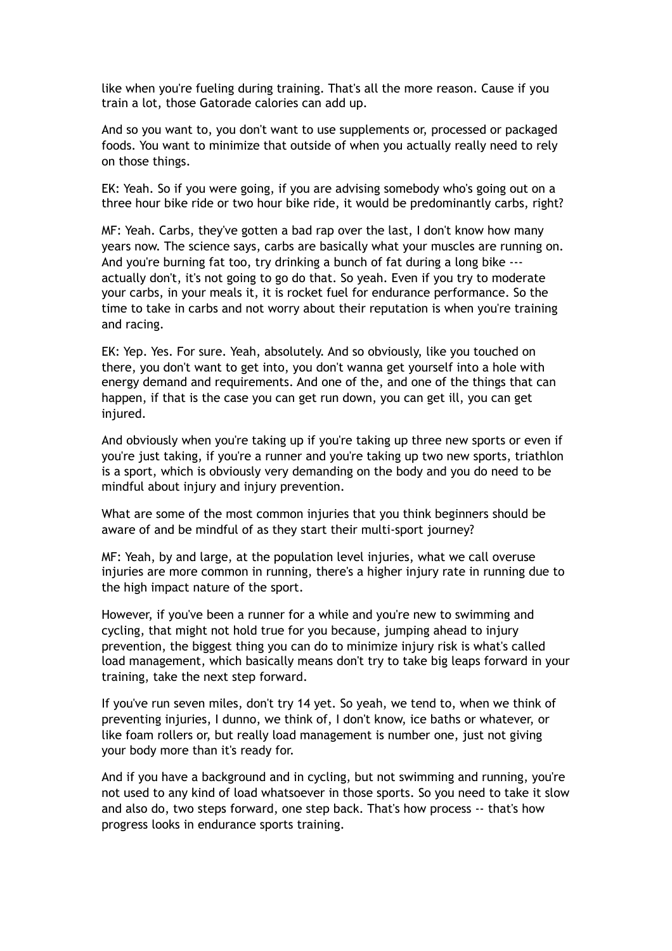like when you're fueling during training. That's all the more reason. Cause if you train a lot, those Gatorade calories can add up.

And so you want to, you don't want to use supplements or, processed or packaged foods. You want to minimize that outside of when you actually really need to rely on those things.

EK: Yeah. So if you were going, if you are advising somebody who's going out on a three hour bike ride or two hour bike ride, it would be predominantly carbs, right?

MF: Yeah. Carbs, they've gotten a bad rap over the last, I don't know how many years now. The science says, carbs are basically what your muscles are running on. And you're burning fat too, try drinking a bunch of fat during a long bike -- actually don't, it's not going to go do that. So yeah. Even if you try to moderate your carbs, in your meals it, it is rocket fuel for endurance performance. So the time to take in carbs and not worry about their reputation is when you're training and racing.

EK: Yep. Yes. For sure. Yeah, absolutely. And so obviously, like you touched on there, you don't want to get into, you don't wanna get yourself into a hole with energy demand and requirements. And one of the, and one of the things that can happen, if that is the case you can get run down, you can get ill, you can get injured.

And obviously when you're taking up if you're taking up three new sports or even if you're just taking, if you're a runner and you're taking up two new sports, triathlon is a sport, which is obviously very demanding on the body and you do need to be mindful about injury and injury prevention.

What are some of the most common injuries that you think beginners should be aware of and be mindful of as they start their multi-sport journey?

MF: Yeah, by and large, at the population level injuries, what we call overuse injuries are more common in running, there's a higher injury rate in running due to the high impact nature of the sport.

However, if you've been a runner for a while and you're new to swimming and cycling, that might not hold true for you because, jumping ahead to injury prevention, the biggest thing you can do to minimize injury risk is what's called load management, which basically means don't try to take big leaps forward in your training, take the next step forward.

If you've run seven miles, don't try 14 yet. So yeah, we tend to, when we think of preventing injuries, I dunno, we think of, I don't know, ice baths or whatever, or like foam rollers or, but really load management is number one, just not giving your body more than it's ready for.

And if you have a background and in cycling, but not swimming and running, you're not used to any kind of load whatsoever in those sports. So you need to take it slow and also do, two steps forward, one step back. That's how process -- that's how progress looks in endurance sports training.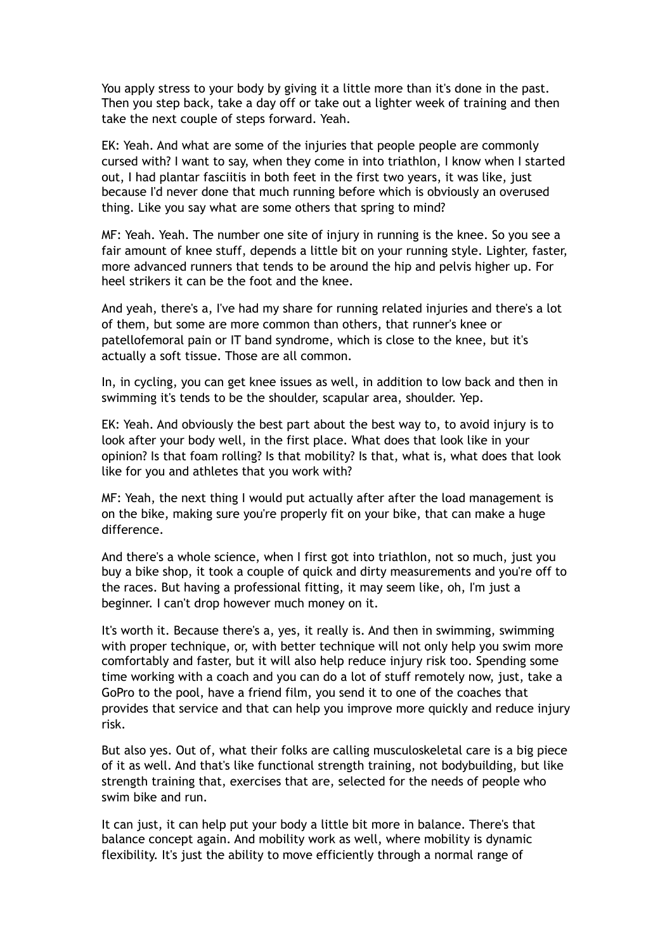You apply stress to your body by giving it a little more than it's done in the past. Then you step back, take a day off or take out a lighter week of training and then take the next couple of steps forward. Yeah.

EK: Yeah. And what are some of the injuries that people people are commonly cursed with? I want to say, when they come in into triathlon, I know when I started out, I had plantar fasciitis in both feet in the first two years, it was like, just because I'd never done that much running before which is obviously an overused thing. Like you say what are some others that spring to mind?

MF: Yeah. Yeah. The number one site of injury in running is the knee. So you see a fair amount of knee stuff, depends a little bit on your running style. Lighter, faster, more advanced runners that tends to be around the hip and pelvis higher up. For heel strikers it can be the foot and the knee.

And yeah, there's a, I've had my share for running related injuries and there's a lot of them, but some are more common than others, that runner's knee or patellofemoral pain or IT band syndrome, which is close to the knee, but it's actually a soft tissue. Those are all common.

In, in cycling, you can get knee issues as well, in addition to low back and then in swimming it's tends to be the shoulder, scapular area, shoulder. Yep.

EK: Yeah. And obviously the best part about the best way to, to avoid injury is to look after your body well, in the first place. What does that look like in your opinion? Is that foam rolling? Is that mobility? Is that, what is, what does that look like for you and athletes that you work with?

MF: Yeah, the next thing I would put actually after after the load management is on the bike, making sure you're properly fit on your bike, that can make a huge difference.

And there's a whole science, when I first got into triathlon, not so much, just you buy a bike shop, it took a couple of quick and dirty measurements and you're off to the races. But having a professional fitting, it may seem like, oh, I'm just a beginner. I can't drop however much money on it.

It's worth it. Because there's a, yes, it really is. And then in swimming, swimming with proper technique, or, with better technique will not only help you swim more comfortably and faster, but it will also help reduce injury risk too. Spending some time working with a coach and you can do a lot of stuff remotely now, just, take a GoPro to the pool, have a friend film, you send it to one of the coaches that provides that service and that can help you improve more quickly and reduce injury risk.

But also yes. Out of, what their folks are calling musculoskeletal care is a big piece of it as well. And that's like functional strength training, not bodybuilding, but like strength training that, exercises that are, selected for the needs of people who swim bike and run.

It can just, it can help put your body a little bit more in balance. There's that balance concept again. And mobility work as well, where mobility is dynamic flexibility. It's just the ability to move efficiently through a normal range of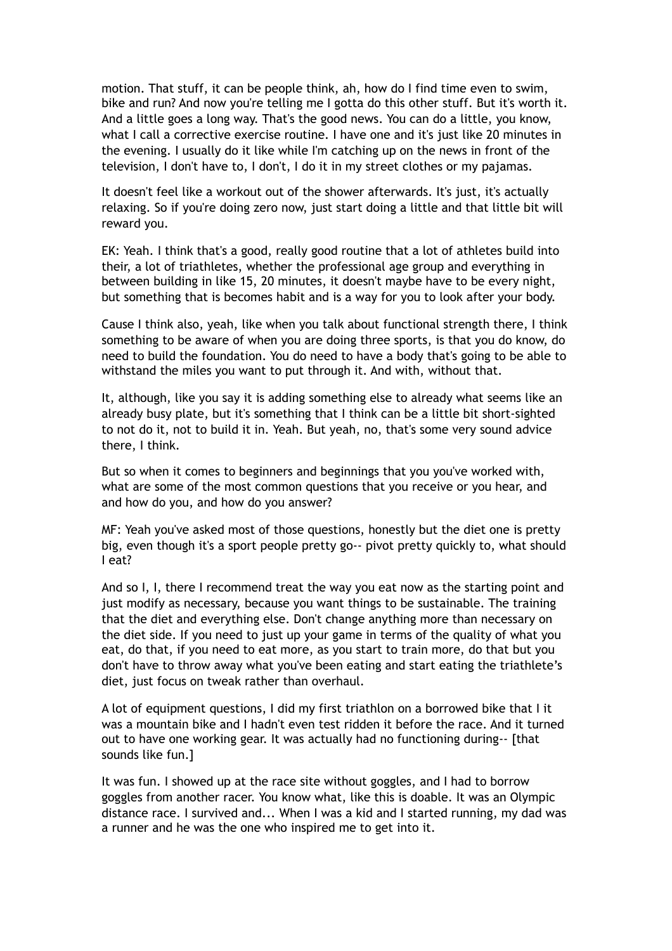motion. That stuff, it can be people think, ah, how do I find time even to swim, bike and run? And now you're telling me I gotta do this other stuff. But it's worth it. And a little goes a long way. That's the good news. You can do a little, you know, what I call a corrective exercise routine. I have one and it's just like 20 minutes in the evening. I usually do it like while I'm catching up on the news in front of the television, I don't have to, I don't, I do it in my street clothes or my pajamas.

It doesn't feel like a workout out of the shower afterwards. It's just, it's actually relaxing. So if you're doing zero now, just start doing a little and that little bit will reward you.

EK: Yeah. I think that's a good, really good routine that a lot of athletes build into their, a lot of triathletes, whether the professional age group and everything in between building in like 15, 20 minutes, it doesn't maybe have to be every night, but something that is becomes habit and is a way for you to look after your body.

Cause I think also, yeah, like when you talk about functional strength there, I think something to be aware of when you are doing three sports, is that you do know, do need to build the foundation. You do need to have a body that's going to be able to withstand the miles you want to put through it. And with, without that.

It, although, like you say it is adding something else to already what seems like an already busy plate, but it's something that I think can be a little bit short-sighted to not do it, not to build it in. Yeah. But yeah, no, that's some very sound advice there, I think.

But so when it comes to beginners and beginnings that you you've worked with, what are some of the most common questions that you receive or you hear, and and how do you, and how do you answer?

MF: Yeah you've asked most of those questions, honestly but the diet one is pretty big, even though it's a sport people pretty go-- pivot pretty quickly to, what should I eat?

And so I, I, there I recommend treat the way you eat now as the starting point and just modify as necessary, because you want things to be sustainable. The training that the diet and everything else. Don't change anything more than necessary on the diet side. If you need to just up your game in terms of the quality of what you eat, do that, if you need to eat more, as you start to train more, do that but you don't have to throw away what you've been eating and start eating the triathlete's diet, just focus on tweak rather than overhaul.

A lot of equipment questions, I did my first triathlon on a borrowed bike that I it was a mountain bike and I hadn't even test ridden it before the race. And it turned out to have one working gear. It was actually had no functioning during-- [that sounds like fun.]

It was fun. I showed up at the race site without goggles, and I had to borrow goggles from another racer. You know what, like this is doable. It was an Olympic distance race. I survived and... When I was a kid and I started running, my dad was a runner and he was the one who inspired me to get into it.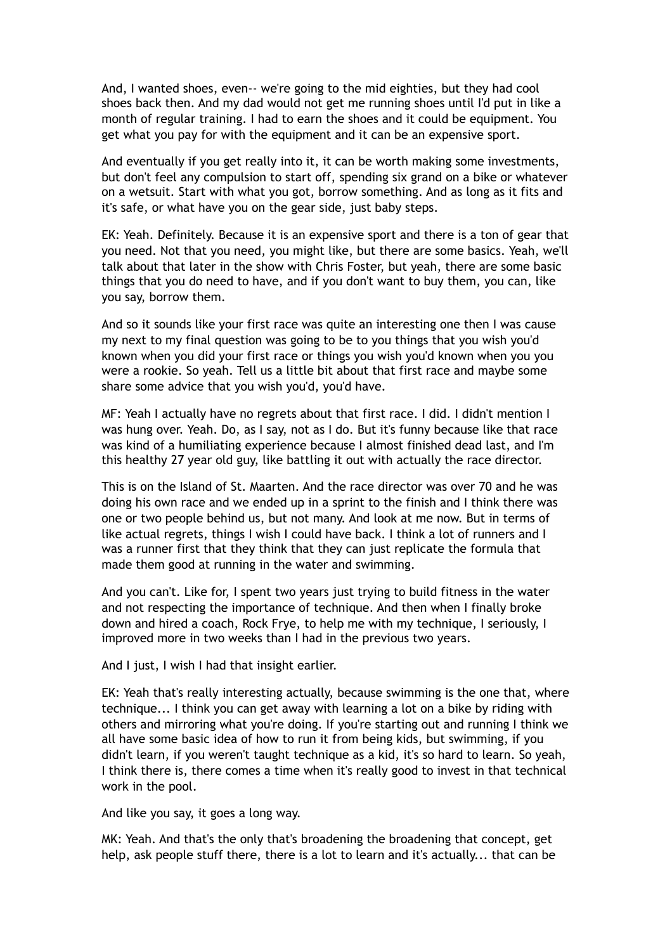And, I wanted shoes, even-- we're going to the mid eighties, but they had cool shoes back then. And my dad would not get me running shoes until I'd put in like a month of regular training. I had to earn the shoes and it could be equipment. You get what you pay for with the equipment and it can be an expensive sport.

And eventually if you get really into it, it can be worth making some investments, but don't feel any compulsion to start off, spending six grand on a bike or whatever on a wetsuit. Start with what you got, borrow something. And as long as it fits and it's safe, or what have you on the gear side, just baby steps.

EK: Yeah. Definitely. Because it is an expensive sport and there is a ton of gear that you need. Not that you need, you might like, but there are some basics. Yeah, we'll talk about that later in the show with Chris Foster, but yeah, there are some basic things that you do need to have, and if you don't want to buy them, you can, like you say, borrow them.

And so it sounds like your first race was quite an interesting one then I was cause my next to my final question was going to be to you things that you wish you'd known when you did your first race or things you wish you'd known when you you were a rookie. So yeah. Tell us a little bit about that first race and maybe some share some advice that you wish you'd, you'd have.

MF: Yeah I actually have no regrets about that first race. I did. I didn't mention I was hung over. Yeah. Do, as I say, not as I do. But it's funny because like that race was kind of a humiliating experience because I almost finished dead last, and I'm this healthy 27 year old guy, like battling it out with actually the race director.

This is on the Island of St. Maarten. And the race director was over 70 and he was doing his own race and we ended up in a sprint to the finish and I think there was one or two people behind us, but not many. And look at me now. But in terms of like actual regrets, things I wish I could have back. I think a lot of runners and I was a runner first that they think that they can just replicate the formula that made them good at running in the water and swimming.

And you can't. Like for, I spent two years just trying to build fitness in the water and not respecting the importance of technique. And then when I finally broke down and hired a coach, Rock Frye, to help me with my technique, I seriously, I improved more in two weeks than I had in the previous two years.

And I just, I wish I had that insight earlier.

EK: Yeah that's really interesting actually, because swimming is the one that, where technique... I think you can get away with learning a lot on a bike by riding with others and mirroring what you're doing. If you're starting out and running I think we all have some basic idea of how to run it from being kids, but swimming, if you didn't learn, if you weren't taught technique as a kid, it's so hard to learn. So yeah, I think there is, there comes a time when it's really good to invest in that technical work in the pool.

And like you say, it goes a long way.

MK: Yeah. And that's the only that's broadening the broadening that concept, get help, ask people stuff there, there is a lot to learn and it's actually... that can be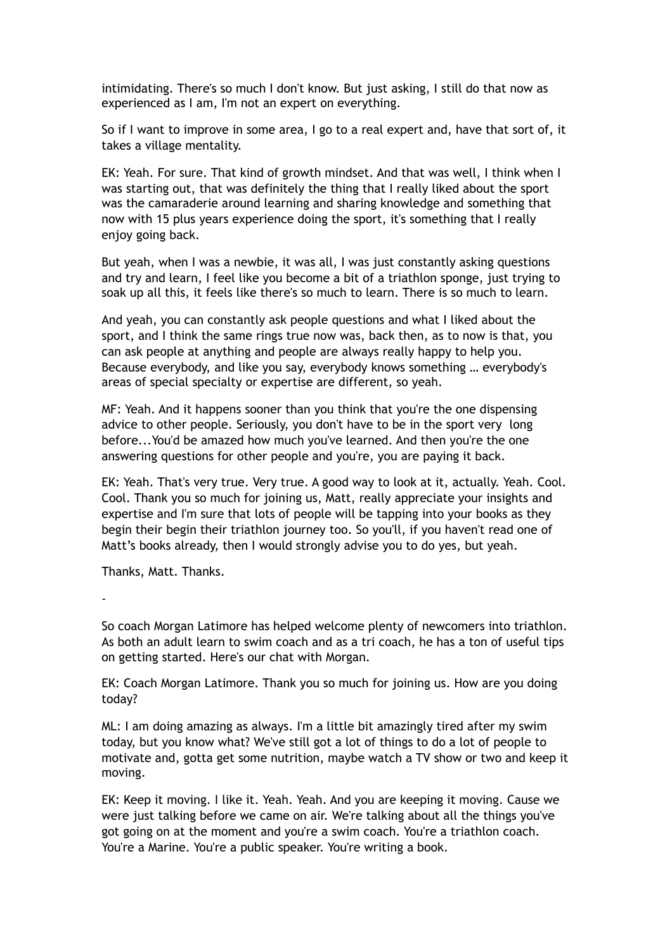intimidating. There's so much I don't know. But just asking, I still do that now as experienced as I am, I'm not an expert on everything.

So if I want to improve in some area, I go to a real expert and, have that sort of, it takes a village mentality.

EK: Yeah. For sure. That kind of growth mindset. And that was well, I think when I was starting out, that was definitely the thing that I really liked about the sport was the camaraderie around learning and sharing knowledge and something that now with 15 plus years experience doing the sport, it's something that I really enjoy going back.

But yeah, when I was a newbie, it was all, I was just constantly asking questions and try and learn, I feel like you become a bit of a triathlon sponge, just trying to soak up all this, it feels like there's so much to learn. There is so much to learn.

And yeah, you can constantly ask people questions and what I liked about the sport, and I think the same rings true now was, back then, as to now is that, you can ask people at anything and people are always really happy to help you. Because everybody, and like you say, everybody knows something … everybody's areas of special specialty or expertise are different, so yeah.

MF: Yeah. And it happens sooner than you think that you're the one dispensing advice to other people. Seriously, you don't have to be in the sport very long before...You'd be amazed how much you've learned. And then you're the one answering questions for other people and you're, you are paying it back.

EK: Yeah. That's very true. Very true. A good way to look at it, actually. Yeah. Cool. Cool. Thank you so much for joining us, Matt, really appreciate your insights and expertise and I'm sure that lots of people will be tapping into your books as they begin their begin their triathlon journey too. So you'll, if you haven't read one of Matt's books already, then I would strongly advise you to do yes, but yeah.

Thanks, Matt. Thanks.

-

So coach Morgan Latimore has helped welcome plenty of newcomers into triathlon. As both an adult learn to swim coach and as a tri coach, he has a ton of useful tips on getting started. Here's our chat with Morgan.

EK: Coach Morgan Latimore. Thank you so much for joining us. How are you doing today?

ML: I am doing amazing as always. I'm a little bit amazingly tired after my swim today, but you know what? We've still got a lot of things to do a lot of people to motivate and, gotta get some nutrition, maybe watch a TV show or two and keep it moving.

EK: Keep it moving. I like it. Yeah. Yeah. And you are keeping it moving. Cause we were just talking before we came on air. We're talking about all the things you've got going on at the moment and you're a swim coach. You're a triathlon coach. You're a Marine. You're a public speaker. You're writing a book.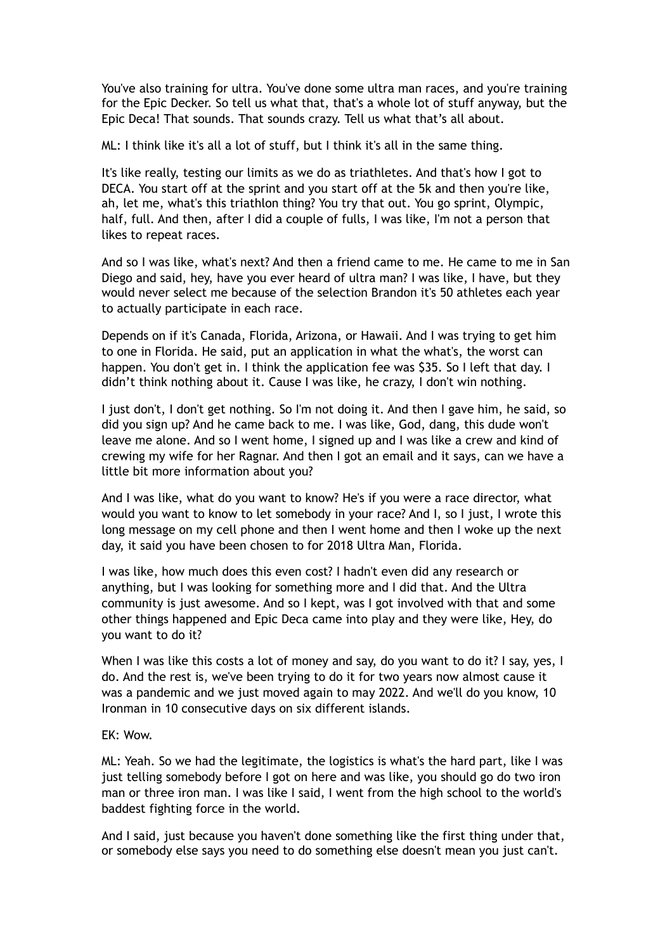You've also training for ultra. You've done some ultra man races, and you're training for the Epic Decker. So tell us what that, that's a whole lot of stuff anyway, but the Epic Deca! That sounds. That sounds crazy. Tell us what that's all about.

ML: I think like it's all a lot of stuff, but I think it's all in the same thing.

It's like really, testing our limits as we do as triathletes. And that's how I got to DECA. You start off at the sprint and you start off at the 5k and then you're like, ah, let me, what's this triathlon thing? You try that out. You go sprint, Olympic, half, full. And then, after I did a couple of fulls, I was like, I'm not a person that likes to repeat races.

And so I was like, what's next? And then a friend came to me. He came to me in San Diego and said, hey, have you ever heard of ultra man? I was like, I have, but they would never select me because of the selection Brandon it's 50 athletes each year to actually participate in each race.

Depends on if it's Canada, Florida, Arizona, or Hawaii. And I was trying to get him to one in Florida. He said, put an application in what the what's, the worst can happen. You don't get in. I think the application fee was \$35. So I left that day. I didn't think nothing about it. Cause I was like, he crazy, I don't win nothing.

I just don't, I don't get nothing. So I'm not doing it. And then I gave him, he said, so did you sign up? And he came back to me. I was like, God, dang, this dude won't leave me alone. And so I went home, I signed up and I was like a crew and kind of crewing my wife for her Ragnar. And then I got an email and it says, can we have a little bit more information about you?

And I was like, what do you want to know? He's if you were a race director, what would you want to know to let somebody in your race? And I, so I just, I wrote this long message on my cell phone and then I went home and then I woke up the next day, it said you have been chosen to for 2018 Ultra Man, Florida.

I was like, how much does this even cost? I hadn't even did any research or anything, but I was looking for something more and I did that. And the Ultra community is just awesome. And so I kept, was I got involved with that and some other things happened and Epic Deca came into play and they were like, Hey, do you want to do it?

When I was like this costs a lot of money and say, do you want to do it? I say, yes, I do. And the rest is, we've been trying to do it for two years now almost cause it was a pandemic and we just moved again to may 2022. And we'll do you know, 10 Ironman in 10 consecutive days on six different islands.

## EK: Wow.

ML: Yeah. So we had the legitimate, the logistics is what's the hard part, like I was just telling somebody before I got on here and was like, you should go do two iron man or three iron man. I was like I said, I went from the high school to the world's baddest fighting force in the world.

And I said, just because you haven't done something like the first thing under that, or somebody else says you need to do something else doesn't mean you just can't.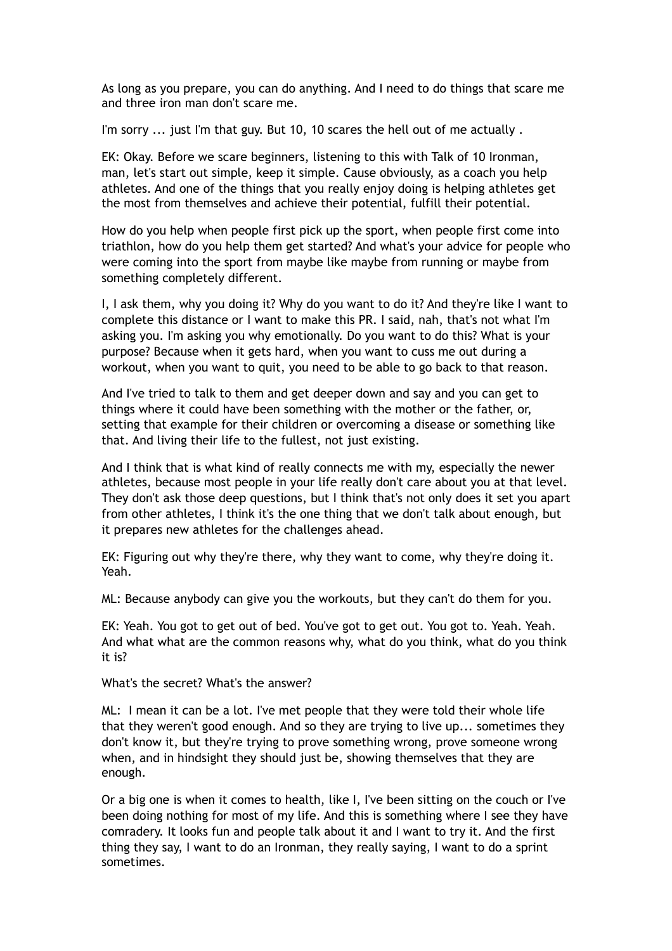As long as you prepare, you can do anything. And I need to do things that scare me and three iron man don't scare me.

I'm sorry ... just I'm that guy. But 10, 10 scares the hell out of me actually.

EK: Okay. Before we scare beginners, listening to this with Talk of 10 Ironman, man, let's start out simple, keep it simple. Cause obviously, as a coach you help athletes. And one of the things that you really enjoy doing is helping athletes get the most from themselves and achieve their potential, fulfill their potential.

How do you help when people first pick up the sport, when people first come into triathlon, how do you help them get started? And what's your advice for people who were coming into the sport from maybe like maybe from running or maybe from something completely different.

I, I ask them, why you doing it? Why do you want to do it? And they're like I want to complete this distance or I want to make this PR. I said, nah, that's not what I'm asking you. I'm asking you why emotionally. Do you want to do this? What is your purpose? Because when it gets hard, when you want to cuss me out during a workout, when you want to quit, you need to be able to go back to that reason.

And I've tried to talk to them and get deeper down and say and you can get to things where it could have been something with the mother or the father, or, setting that example for their children or overcoming a disease or something like that. And living their life to the fullest, not just existing.

And I think that is what kind of really connects me with my, especially the newer athletes, because most people in your life really don't care about you at that level. They don't ask those deep questions, but I think that's not only does it set you apart from other athletes, I think it's the one thing that we don't talk about enough, but it prepares new athletes for the challenges ahead.

EK: Figuring out why they're there, why they want to come, why they're doing it. Yeah.

ML: Because anybody can give you the workouts, but they can't do them for you.

EK: Yeah. You got to get out of bed. You've got to get out. You got to. Yeah. Yeah. And what what are the common reasons why, what do you think, what do you think it is?

What's the secret? What's the answer?

ML: I mean it can be a lot. I've met people that they were told their whole life that they weren't good enough. And so they are trying to live up... sometimes they don't know it, but they're trying to prove something wrong, prove someone wrong when, and in hindsight they should just be, showing themselves that they are enough.

Or a big one is when it comes to health, like I, I've been sitting on the couch or I've been doing nothing for most of my life. And this is something where I see they have comradery. It looks fun and people talk about it and I want to try it. And the first thing they say, I want to do an Ironman, they really saying, I want to do a sprint sometimes.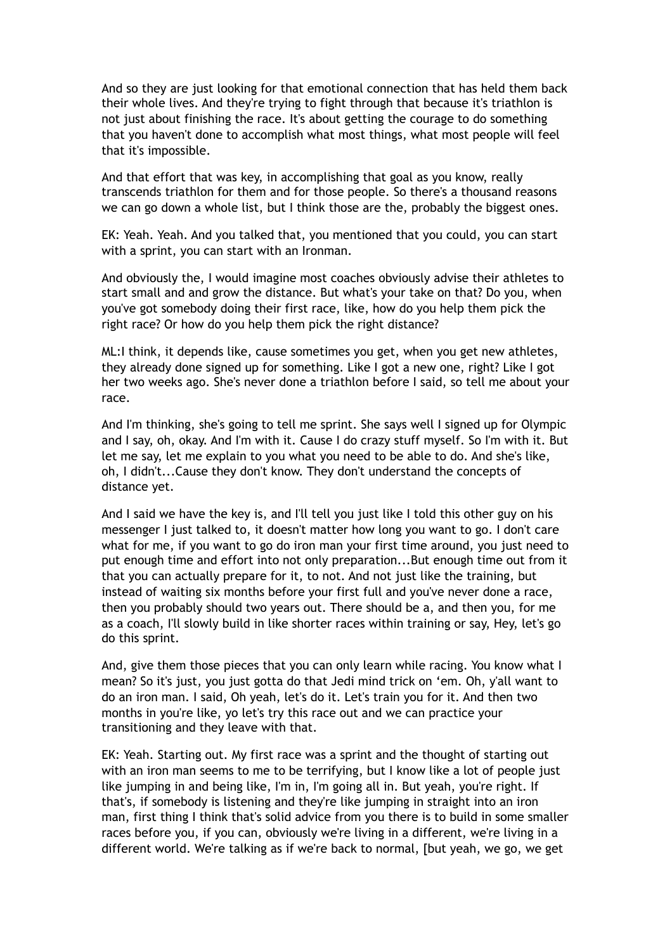And so they are just looking for that emotional connection that has held them back their whole lives. And they're trying to fight through that because it's triathlon is not just about finishing the race. It's about getting the courage to do something that you haven't done to accomplish what most things, what most people will feel that it's impossible.

And that effort that was key, in accomplishing that goal as you know, really transcends triathlon for them and for those people. So there's a thousand reasons we can go down a whole list, but I think those are the, probably the biggest ones.

EK: Yeah. Yeah. And you talked that, you mentioned that you could, you can start with a sprint, you can start with an Ironman.

And obviously the, I would imagine most coaches obviously advise their athletes to start small and and grow the distance. But what's your take on that? Do you, when you've got somebody doing their first race, like, how do you help them pick the right race? Or how do you help them pick the right distance?

ML:I think, it depends like, cause sometimes you get, when you get new athletes, they already done signed up for something. Like I got a new one, right? Like I got her two weeks ago. She's never done a triathlon before I said, so tell me about your race.

And I'm thinking, she's going to tell me sprint. She says well I signed up for Olympic and I say, oh, okay. And I'm with it. Cause I do crazy stuff myself. So I'm with it. But let me say, let me explain to you what you need to be able to do. And she's like, oh, I didn't...Cause they don't know. They don't understand the concepts of distance yet.

And I said we have the key is, and I'll tell you just like I told this other guy on his messenger I just talked to, it doesn't matter how long you want to go. I don't care what for me, if you want to go do iron man your first time around, you just need to put enough time and effort into not only preparation...But enough time out from it that you can actually prepare for it, to not. And not just like the training, but instead of waiting six months before your first full and you've never done a race, then you probably should two years out. There should be a, and then you, for me as a coach, I'll slowly build in like shorter races within training or say, Hey, let's go do this sprint.

And, give them those pieces that you can only learn while racing. You know what I mean? So it's just, you just gotta do that Jedi mind trick on 'em. Oh, y'all want to do an iron man. I said, Oh yeah, let's do it. Let's train you for it. And then two months in you're like, yo let's try this race out and we can practice your transitioning and they leave with that.

EK: Yeah. Starting out. My first race was a sprint and the thought of starting out with an iron man seems to me to be terrifying, but I know like a lot of people just like jumping in and being like, I'm in, I'm going all in. But yeah, you're right. If that's, if somebody is listening and they're like jumping in straight into an iron man, first thing I think that's solid advice from you there is to build in some smaller races before you, if you can, obviously we're living in a different, we're living in a different world. We're talking as if we're back to normal, [but yeah, we go, we get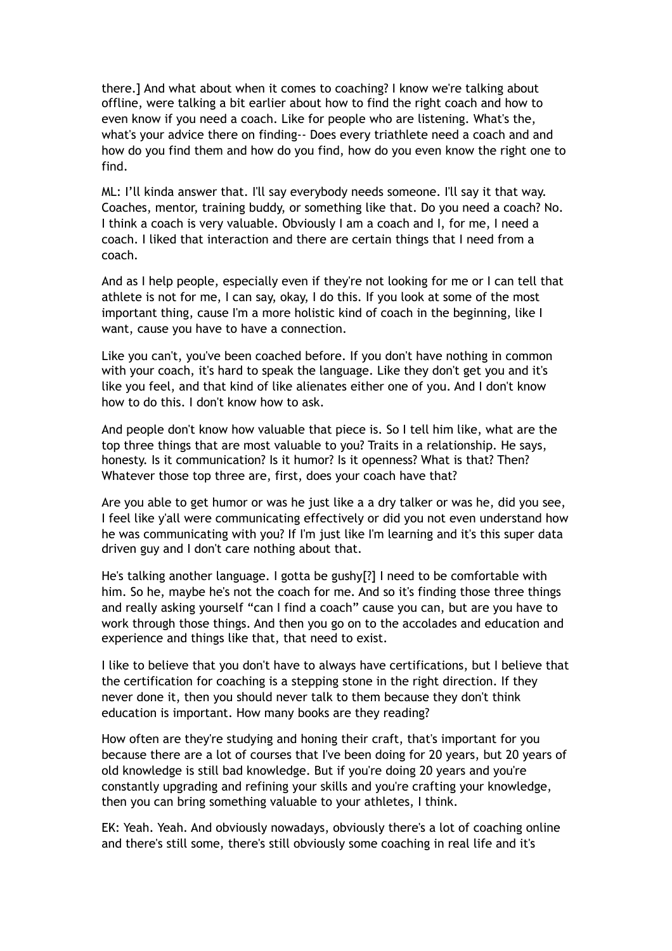there.] And what about when it comes to coaching? I know we're talking about offline, were talking a bit earlier about how to find the right coach and how to even know if you need a coach. Like for people who are listening. What's the, what's your advice there on finding-- Does every triathlete need a coach and and how do you find them and how do you find, how do you even know the right one to find.

ML: I'll kinda answer that. I'll say everybody needs someone. I'll say it that way. Coaches, mentor, training buddy, or something like that. Do you need a coach? No. I think a coach is very valuable. Obviously I am a coach and I, for me, I need a coach. I liked that interaction and there are certain things that I need from a coach.

And as I help people, especially even if they're not looking for me or I can tell that athlete is not for me, I can say, okay, I do this. If you look at some of the most important thing, cause I'm a more holistic kind of coach in the beginning, like I want, cause you have to have a connection.

Like you can't, you've been coached before. If you don't have nothing in common with your coach, it's hard to speak the language. Like they don't get you and it's like you feel, and that kind of like alienates either one of you. And I don't know how to do this. I don't know how to ask.

And people don't know how valuable that piece is. So I tell him like, what are the top three things that are most valuable to you? Traits in a relationship. He says, honesty. Is it communication? Is it humor? Is it openness? What is that? Then? Whatever those top three are, first, does your coach have that?

Are you able to get humor or was he just like a a dry talker or was he, did you see, I feel like y'all were communicating effectively or did you not even understand how he was communicating with you? If I'm just like I'm learning and it's this super data driven guy and I don't care nothing about that.

He's talking another language. I gotta be gushy[?] I need to be comfortable with him. So he, maybe he's not the coach for me. And so it's finding those three things and really asking yourself "can I find a coach" cause you can, but are you have to work through those things. And then you go on to the accolades and education and experience and things like that, that need to exist.

I like to believe that you don't have to always have certifications, but I believe that the certification for coaching is a stepping stone in the right direction. If they never done it, then you should never talk to them because they don't think education is important. How many books are they reading?

How often are they're studying and honing their craft, that's important for you because there are a lot of courses that I've been doing for 20 years, but 20 years of old knowledge is still bad knowledge. But if you're doing 20 years and you're constantly upgrading and refining your skills and you're crafting your knowledge, then you can bring something valuable to your athletes, I think.

EK: Yeah. Yeah. And obviously nowadays, obviously there's a lot of coaching online and there's still some, there's still obviously some coaching in real life and it's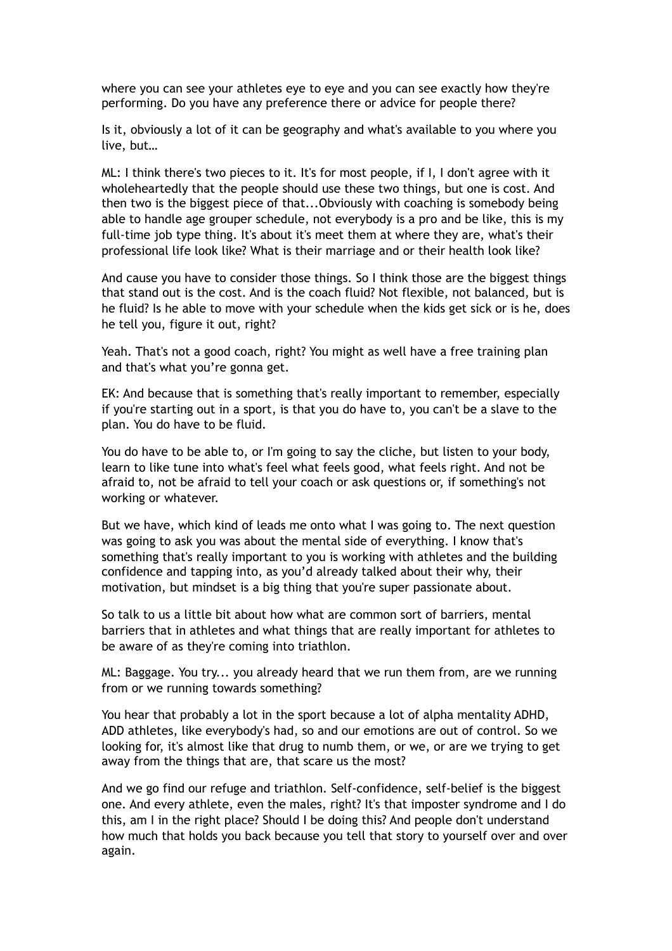where you can see your athletes eye to eye and you can see exactly how they're performing. Do you have any preference there or advice for people there?

Is it, obviously a lot of it can be geography and what's available to you where you live, but…

ML: I think there's two pieces to it. It's for most people, if I, I don't agree with it wholeheartedly that the people should use these two things, but one is cost. And then two is the biggest piece of that...Obviously with coaching is somebody being able to handle age grouper schedule, not everybody is a pro and be like, this is my full-time job type thing. It's about it's meet them at where they are, what's their professional life look like? What is their marriage and or their health look like?

And cause you have to consider those things. So I think those are the biggest things that stand out is the cost. And is the coach fluid? Not flexible, not balanced, but is he fluid? Is he able to move with your schedule when the kids get sick or is he, does he tell you, figure it out, right?

Yeah. That's not a good coach, right? You might as well have a free training plan and that's what you're gonna get.

EK: And because that is something that's really important to remember, especially if you're starting out in a sport, is that you do have to, you can't be a slave to the plan. You do have to be fluid.

You do have to be able to, or I'm going to say the cliche, but listen to your body, learn to like tune into what's feel what feels good, what feels right. And not be afraid to, not be afraid to tell your coach or ask questions or, if something's not working or whatever.

But we have, which kind of leads me onto what I was going to. The next question was going to ask you was about the mental side of everything. I know that's something that's really important to you is working with athletes and the building confidence and tapping into, as you'd already talked about their why, their motivation, but mindset is a big thing that you're super passionate about.

So talk to us a little bit about how what are common sort of barriers, mental barriers that in athletes and what things that are really important for athletes to be aware of as they're coming into triathlon.

ML: Baggage. You try... you already heard that we run them from, are we running from or we running towards something?

You hear that probably a lot in the sport because a lot of alpha mentality ADHD, ADD athletes, like everybody's had, so and our emotions are out of control. So we looking for, it's almost like that drug to numb them, or we, or are we trying to get away from the things that are, that scare us the most?

And we go find our refuge and triathlon. Self-confidence, self-belief is the biggest one. And every athlete, even the males, right? It's that imposter syndrome and I do this, am I in the right place? Should I be doing this? And people don't understand how much that holds you back because you tell that story to yourself over and over again.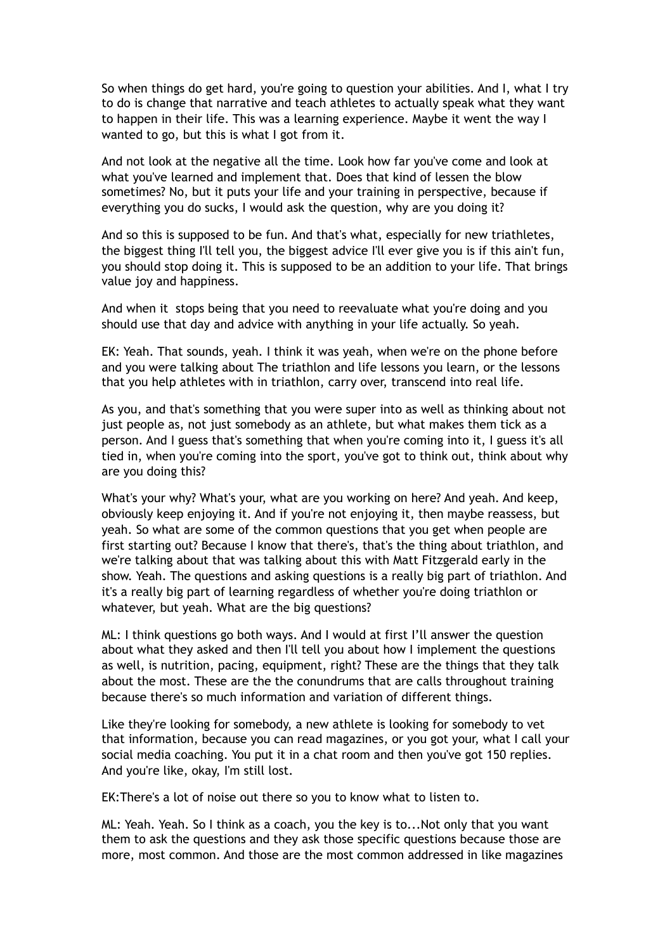So when things do get hard, you're going to question your abilities. And I, what I try to do is change that narrative and teach athletes to actually speak what they want to happen in their life. This was a learning experience. Maybe it went the way I wanted to go, but this is what I got from it.

And not look at the negative all the time. Look how far you've come and look at what you've learned and implement that. Does that kind of lessen the blow sometimes? No, but it puts your life and your training in perspective, because if everything you do sucks, I would ask the question, why are you doing it?

And so this is supposed to be fun. And that's what, especially for new triathletes, the biggest thing I'll tell you, the biggest advice I'll ever give you is if this ain't fun, you should stop doing it. This is supposed to be an addition to your life. That brings value joy and happiness.

And when it stops being that you need to reevaluate what you're doing and you should use that day and advice with anything in your life actually. So yeah.

EK: Yeah. That sounds, yeah. I think it was yeah, when we're on the phone before and you were talking about The triathlon and life lessons you learn, or the lessons that you help athletes with in triathlon, carry over, transcend into real life.

As you, and that's something that you were super into as well as thinking about not just people as, not just somebody as an athlete, but what makes them tick as a person. And I guess that's something that when you're coming into it, I guess it's all tied in, when you're coming into the sport, you've got to think out, think about why are you doing this?

What's your why? What's your, what are you working on here? And yeah. And keep, obviously keep enjoying it. And if you're not enjoying it, then maybe reassess, but yeah. So what are some of the common questions that you get when people are first starting out? Because I know that there's, that's the thing about triathlon, and we're talking about that was talking about this with Matt Fitzgerald early in the show. Yeah. The questions and asking questions is a really big part of triathlon. And it's a really big part of learning regardless of whether you're doing triathlon or whatever, but yeah. What are the big questions?

ML: I think questions go both ways. And I would at first I'll answer the question about what they asked and then I'll tell you about how I implement the questions as well, is nutrition, pacing, equipment, right? These are the things that they talk about the most. These are the the conundrums that are calls throughout training because there's so much information and variation of different things.

Like they're looking for somebody, a new athlete is looking for somebody to vet that information, because you can read magazines, or you got your, what I call your social media coaching. You put it in a chat room and then you've got 150 replies. And you're like, okay, I'm still lost.

EK:There's a lot of noise out there so you to know what to listen to.

ML: Yeah. Yeah. So I think as a coach, you the key is to...Not only that you want them to ask the questions and they ask those specific questions because those are more, most common. And those are the most common addressed in like magazines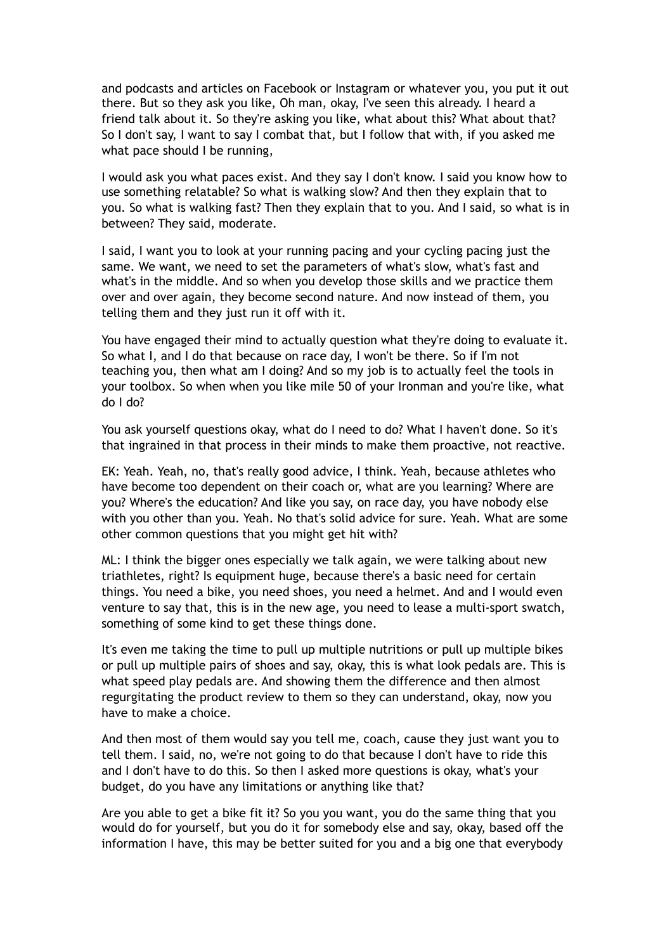and podcasts and articles on Facebook or Instagram or whatever you, you put it out there. But so they ask you like, Oh man, okay, I've seen this already. I heard a friend talk about it. So they're asking you like, what about this? What about that? So I don't say, I want to say I combat that, but I follow that with, if you asked me what pace should I be running,

I would ask you what paces exist. And they say I don't know. I said you know how to use something relatable? So what is walking slow? And then they explain that to you. So what is walking fast? Then they explain that to you. And I said, so what is in between? They said, moderate.

I said, I want you to look at your running pacing and your cycling pacing just the same. We want, we need to set the parameters of what's slow, what's fast and what's in the middle. And so when you develop those skills and we practice them over and over again, they become second nature. And now instead of them, you telling them and they just run it off with it.

You have engaged their mind to actually question what they're doing to evaluate it. So what I, and I do that because on race day, I won't be there. So if I'm not teaching you, then what am I doing? And so my job is to actually feel the tools in your toolbox. So when when you like mile 50 of your Ironman and you're like, what do I do?

You ask yourself questions okay, what do I need to do? What I haven't done. So it's that ingrained in that process in their minds to make them proactive, not reactive.

EK: Yeah. Yeah, no, that's really good advice, I think. Yeah, because athletes who have become too dependent on their coach or, what are you learning? Where are you? Where's the education? And like you say, on race day, you have nobody else with you other than you. Yeah. No that's solid advice for sure. Yeah. What are some other common questions that you might get hit with?

ML: I think the bigger ones especially we talk again, we were talking about new triathletes, right? Is equipment huge, because there's a basic need for certain things. You need a bike, you need shoes, you need a helmet. And and I would even venture to say that, this is in the new age, you need to lease a multi-sport swatch, something of some kind to get these things done.

It's even me taking the time to pull up multiple nutritions or pull up multiple bikes or pull up multiple pairs of shoes and say, okay, this is what look pedals are. This is what speed play pedals are. And showing them the difference and then almost regurgitating the product review to them so they can understand, okay, now you have to make a choice.

And then most of them would say you tell me, coach, cause they just want you to tell them. I said, no, we're not going to do that because I don't have to ride this and I don't have to do this. So then I asked more questions is okay, what's your budget, do you have any limitations or anything like that?

Are you able to get a bike fit it? So you you want, you do the same thing that you would do for yourself, but you do it for somebody else and say, okay, based off the information I have, this may be better suited for you and a big one that everybody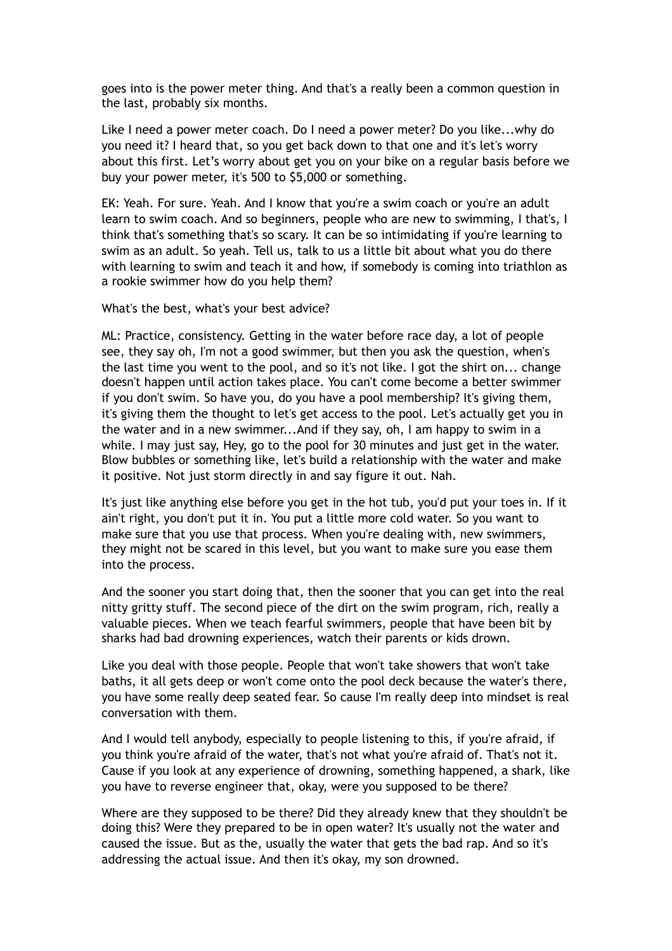goes into is the power meter thing. And that's a really been a common question in the last, probably six months.

Like I need a power meter coach. Do I need a power meter? Do you like...why do you need it? I heard that, so you get back down to that one and it's let's worry about this first. Let's worry about get you on your bike on a regular basis before we buy your power meter, it's 500 to \$5,000 or something.

EK: Yeah. For sure. Yeah. And I know that you're a swim coach or you're an adult learn to swim coach. And so beginners, people who are new to swimming, I that's, I think that's something that's so scary. It can be so intimidating if you're learning to swim as an adult. So yeah. Tell us, talk to us a little bit about what you do there with learning to swim and teach it and how, if somebody is coming into triathlon as a rookie swimmer how do you help them?

What's the best, what's your best advice?

ML: Practice, consistency. Getting in the water before race day, a lot of people see, they say oh, I'm not a good swimmer, but then you ask the question, when's the last time you went to the pool, and so it's not like. I got the shirt on... change doesn't happen until action takes place. You can't come become a better swimmer if you don't swim. So have you, do you have a pool membership? It's giving them, it's giving them the thought to let's get access to the pool. Let's actually get you in the water and in a new swimmer...And if they say, oh, I am happy to swim in a while. I may just say, Hey, go to the pool for 30 minutes and just get in the water. Blow bubbles or something like, let's build a relationship with the water and make it positive. Not just storm directly in and say figure it out. Nah.

It's just like anything else before you get in the hot tub, you'd put your toes in. If it ain't right, you don't put it in. You put a little more cold water. So you want to make sure that you use that process. When you're dealing with, new swimmers, they might not be scared in this level, but you want to make sure you ease them into the process.

And the sooner you start doing that, then the sooner that you can get into the real nitty gritty stuff. The second piece of the dirt on the swim program, rich, really a valuable pieces. When we teach fearful swimmers, people that have been bit by sharks had bad drowning experiences, watch their parents or kids drown.

Like you deal with those people. People that won't take showers that won't take baths, it all gets deep or won't come onto the pool deck because the water's there, you have some really deep seated fear. So cause I'm really deep into mindset is real conversation with them.

And I would tell anybody, especially to people listening to this, if you're afraid, if you think you're afraid of the water, that's not what you're afraid of. That's not it. Cause if you look at any experience of drowning, something happened, a shark, like you have to reverse engineer that, okay, were you supposed to be there?

Where are they supposed to be there? Did they already knew that they shouldn't be doing this? Were they prepared to be in open water? It's usually not the water and caused the issue. But as the, usually the water that gets the bad rap. And so it's addressing the actual issue. And then it's okay, my son drowned.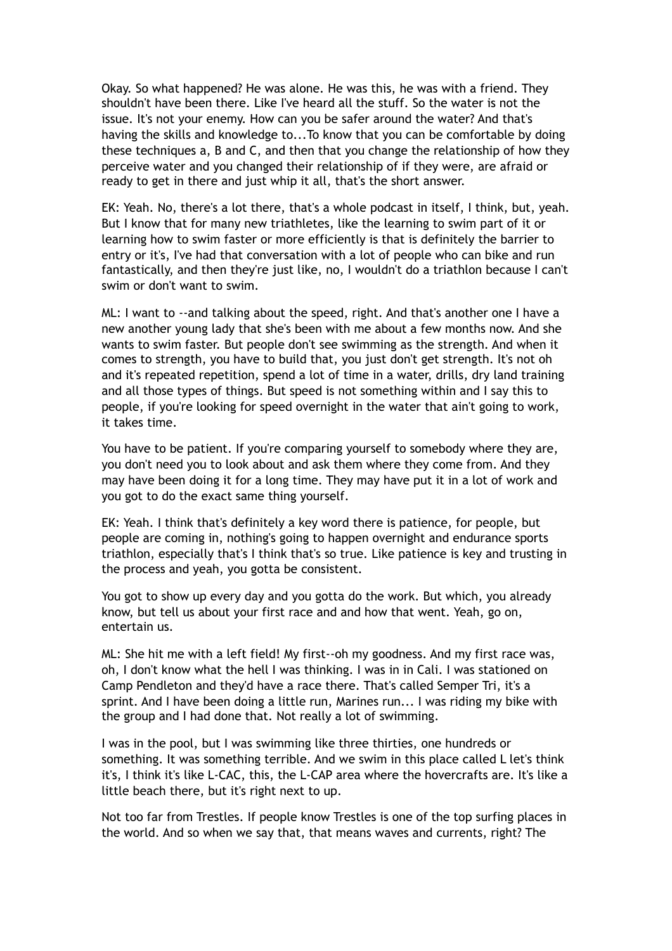Okay. So what happened? He was alone. He was this, he was with a friend. They shouldn't have been there. Like I've heard all the stuff. So the water is not the issue. It's not your enemy. How can you be safer around the water? And that's having the skills and knowledge to...To know that you can be comfortable by doing these techniques a, B and C, and then that you change the relationship of how they perceive water and you changed their relationship of if they were, are afraid or ready to get in there and just whip it all, that's the short answer.

EK: Yeah. No, there's a lot there, that's a whole podcast in itself, I think, but, yeah. But I know that for many new triathletes, like the learning to swim part of it or learning how to swim faster or more efficiently is that is definitely the barrier to entry or it's, I've had that conversation with a lot of people who can bike and run fantastically, and then they're just like, no, I wouldn't do a triathlon because I can't swim or don't want to swim.

ML: I want to --and talking about the speed, right. And that's another one I have a new another young lady that she's been with me about a few months now. And she wants to swim faster. But people don't see swimming as the strength. And when it comes to strength, you have to build that, you just don't get strength. It's not oh and it's repeated repetition, spend a lot of time in a water, drills, dry land training and all those types of things. But speed is not something within and I say this to people, if you're looking for speed overnight in the water that ain't going to work, it takes time.

You have to be patient. If you're comparing yourself to somebody where they are, you don't need you to look about and ask them where they come from. And they may have been doing it for a long time. They may have put it in a lot of work and you got to do the exact same thing yourself.

EK: Yeah. I think that's definitely a key word there is patience, for people, but people are coming in, nothing's going to happen overnight and endurance sports triathlon, especially that's I think that's so true. Like patience is key and trusting in the process and yeah, you gotta be consistent.

You got to show up every day and you gotta do the work. But which, you already know, but tell us about your first race and and how that went. Yeah, go on, entertain us.

ML: She hit me with a left field! My first--oh my goodness. And my first race was, oh, I don't know what the hell I was thinking. I was in in Cali. I was stationed on Camp Pendleton and they'd have a race there. That's called Semper Tri, it's a sprint. And I have been doing a little run, Marines run... I was riding my bike with the group and I had done that. Not really a lot of swimming.

I was in the pool, but I was swimming like three thirties, one hundreds or something. It was something terrible. And we swim in this place called L let's think it's, I think it's like L-CAC, this, the L-CAP area where the hovercrafts are. It's like a little beach there, but it's right next to up.

Not too far from Trestles. If people know Trestles is one of the top surfing places in the world. And so when we say that, that means waves and currents, right? The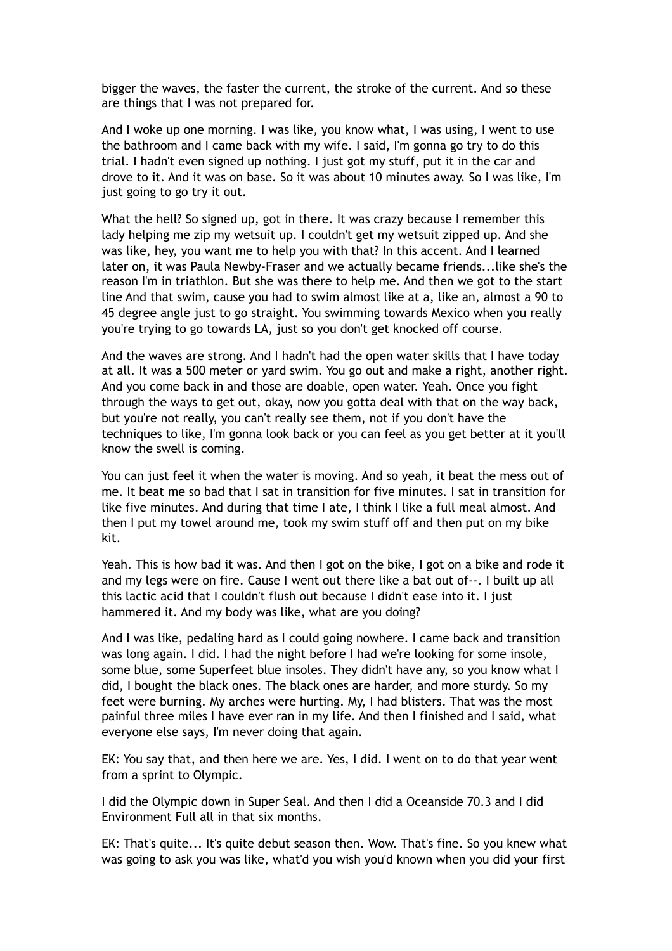bigger the waves, the faster the current, the stroke of the current. And so these are things that I was not prepared for.

And I woke up one morning. I was like, you know what, I was using, I went to use the bathroom and I came back with my wife. I said, I'm gonna go try to do this trial. I hadn't even signed up nothing. I just got my stuff, put it in the car and drove to it. And it was on base. So it was about 10 minutes away. So I was like, I'm just going to go try it out.

What the hell? So signed up, got in there. It was crazy because I remember this lady helping me zip my wetsuit up. I couldn't get my wetsuit zipped up. And she was like, hey, you want me to help you with that? In this accent. And I learned later on, it was Paula Newby-Fraser and we actually became friends...like she's the reason I'm in triathlon. But she was there to help me. And then we got to the start line And that swim, cause you had to swim almost like at a, like an, almost a 90 to 45 degree angle just to go straight. You swimming towards Mexico when you really you're trying to go towards LA, just so you don't get knocked off course.

And the waves are strong. And I hadn't had the open water skills that I have today at all. It was a 500 meter or yard swim. You go out and make a right, another right. And you come back in and those are doable, open water. Yeah. Once you fight through the ways to get out, okay, now you gotta deal with that on the way back, but you're not really, you can't really see them, not if you don't have the techniques to like, I'm gonna look back or you can feel as you get better at it you'll know the swell is coming.

You can just feel it when the water is moving. And so yeah, it beat the mess out of me. It beat me so bad that I sat in transition for five minutes. I sat in transition for like five minutes. And during that time I ate, I think I like a full meal almost. And then I put my towel around me, took my swim stuff off and then put on my bike kit.

Yeah. This is how bad it was. And then I got on the bike, I got on a bike and rode it and my legs were on fire. Cause I went out there like a bat out of--. I built up all this lactic acid that I couldn't flush out because I didn't ease into it. I just hammered it. And my body was like, what are you doing?

And I was like, pedaling hard as I could going nowhere. I came back and transition was long again. I did. I had the night before I had we're looking for some insole, some blue, some Superfeet blue insoles. They didn't have any, so you know what I did, I bought the black ones. The black ones are harder, and more sturdy. So my feet were burning. My arches were hurting. My, I had blisters. That was the most painful three miles I have ever ran in my life. And then I finished and I said, what everyone else says, I'm never doing that again.

EK: You say that, and then here we are. Yes, I did. I went on to do that year went from a sprint to Olympic.

I did the Olympic down in Super Seal. And then I did a Oceanside 70.3 and I did Environment Full all in that six months.

EK: That's quite... It's quite debut season then. Wow. That's fine. So you knew what was going to ask you was like, what'd you wish you'd known when you did your first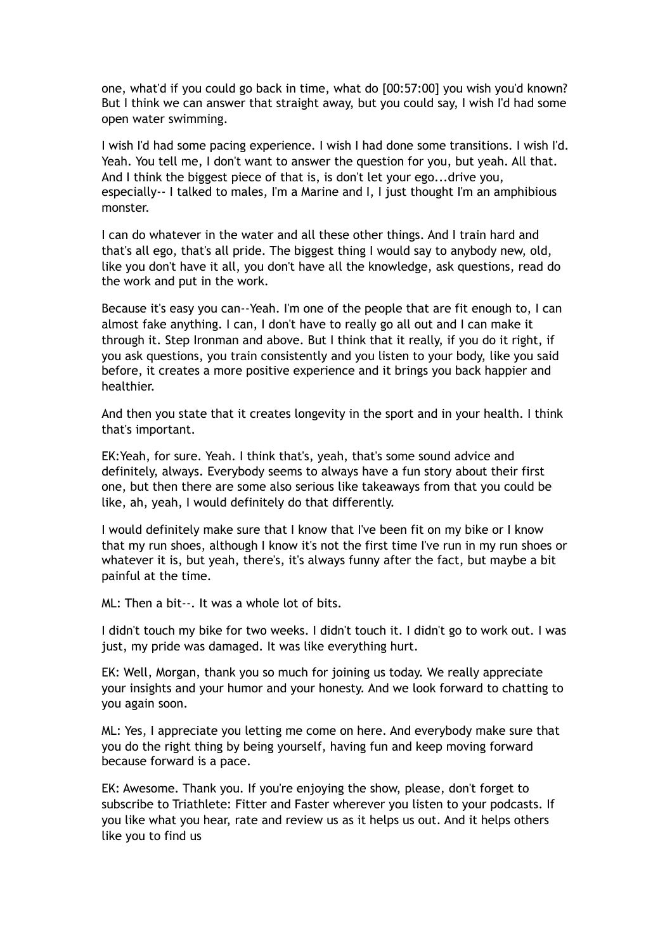one, what'd if you could go back in time, what do [00:57:00] you wish you'd known? But I think we can answer that straight away, but you could say, I wish I'd had some open water swimming.

I wish I'd had some pacing experience. I wish I had done some transitions. I wish I'd. Yeah. You tell me, I don't want to answer the question for you, but yeah. All that. And I think the biggest piece of that is, is don't let your ego...drive you, especially-- I talked to males, I'm a Marine and I, I just thought I'm an amphibious monster.

I can do whatever in the water and all these other things. And I train hard and that's all ego, that's all pride. The biggest thing I would say to anybody new, old, like you don't have it all, you don't have all the knowledge, ask questions, read do the work and put in the work.

Because it's easy you can--Yeah. I'm one of the people that are fit enough to, I can almost fake anything. I can, I don't have to really go all out and I can make it through it. Step Ironman and above. But I think that it really, if you do it right, if you ask questions, you train consistently and you listen to your body, like you said before, it creates a more positive experience and it brings you back happier and healthier.

And then you state that it creates longevity in the sport and in your health. I think that's important.

EK:Yeah, for sure. Yeah. I think that's, yeah, that's some sound advice and definitely, always. Everybody seems to always have a fun story about their first one, but then there are some also serious like takeaways from that you could be like, ah, yeah, I would definitely do that differently.

I would definitely make sure that I know that I've been fit on my bike or I know that my run shoes, although I know it's not the first time I've run in my run shoes or whatever it is, but yeah, there's, it's always funny after the fact, but maybe a bit painful at the time.

ML: Then a bit--. It was a whole lot of bits.

I didn't touch my bike for two weeks. I didn't touch it. I didn't go to work out. I was just, my pride was damaged. It was like everything hurt.

EK: Well, Morgan, thank you so much for joining us today. We really appreciate your insights and your humor and your honesty. And we look forward to chatting to you again soon.

ML: Yes, I appreciate you letting me come on here. And everybody make sure that you do the right thing by being yourself, having fun and keep moving forward because forward is a pace.

EK: Awesome. Thank you. If you're enjoying the show, please, don't forget to subscribe to Triathlete: Fitter and Faster wherever you listen to your podcasts. If you like what you hear, rate and review us as it helps us out. And it helps others like you to find us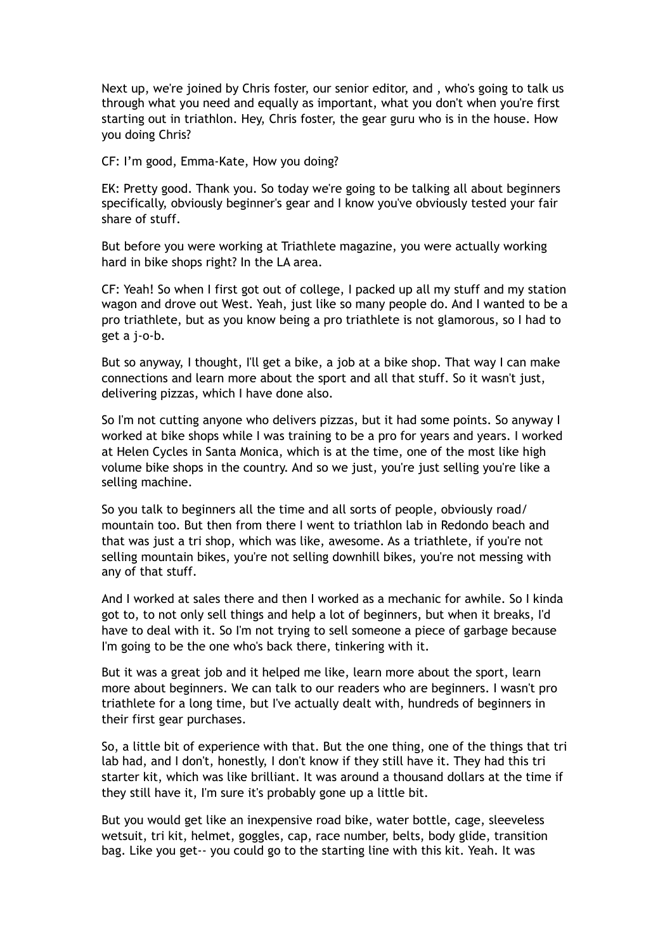Next up, we're joined by Chris foster, our senior editor, and , who's going to talk us through what you need and equally as important, what you don't when you're first starting out in triathlon. Hey, Chris foster, the gear guru who is in the house. How you doing Chris?

CF: I'm good, Emma-Kate, How you doing?

EK: Pretty good. Thank you. So today we're going to be talking all about beginners specifically, obviously beginner's gear and I know you've obviously tested your fair share of stuff.

But before you were working at Triathlete magazine, you were actually working hard in bike shops right? In the LA area.

CF: Yeah! So when I first got out of college, I packed up all my stuff and my station wagon and drove out West. Yeah, just like so many people do. And I wanted to be a pro triathlete, but as you know being a pro triathlete is not glamorous, so I had to get a j-o-b.

But so anyway, I thought, I'll get a bike, a job at a bike shop. That way I can make connections and learn more about the sport and all that stuff. So it wasn't just, delivering pizzas, which I have done also.

So I'm not cutting anyone who delivers pizzas, but it had some points. So anyway I worked at bike shops while I was training to be a pro for years and years. I worked at Helen Cycles in Santa Monica, which is at the time, one of the most like high volume bike shops in the country. And so we just, you're just selling you're like a selling machine.

So you talk to beginners all the time and all sorts of people, obviously road/ mountain too. But then from there I went to triathlon lab in Redondo beach and that was just a tri shop, which was like, awesome. As a triathlete, if you're not selling mountain bikes, you're not selling downhill bikes, you're not messing with any of that stuff.

And I worked at sales there and then I worked as a mechanic for awhile. So I kinda got to, to not only sell things and help a lot of beginners, but when it breaks, I'd have to deal with it. So I'm not trying to sell someone a piece of garbage because I'm going to be the one who's back there, tinkering with it.

But it was a great job and it helped me like, learn more about the sport, learn more about beginners. We can talk to our readers who are beginners. I wasn't pro triathlete for a long time, but I've actually dealt with, hundreds of beginners in their first gear purchases.

So, a little bit of experience with that. But the one thing, one of the things that tri lab had, and I don't, honestly, I don't know if they still have it. They had this tri starter kit, which was like brilliant. It was around a thousand dollars at the time if they still have it, I'm sure it's probably gone up a little bit.

But you would get like an inexpensive road bike, water bottle, cage, sleeveless wetsuit, tri kit, helmet, goggles, cap, race number, belts, body glide, transition bag. Like you get-- you could go to the starting line with this kit. Yeah. It was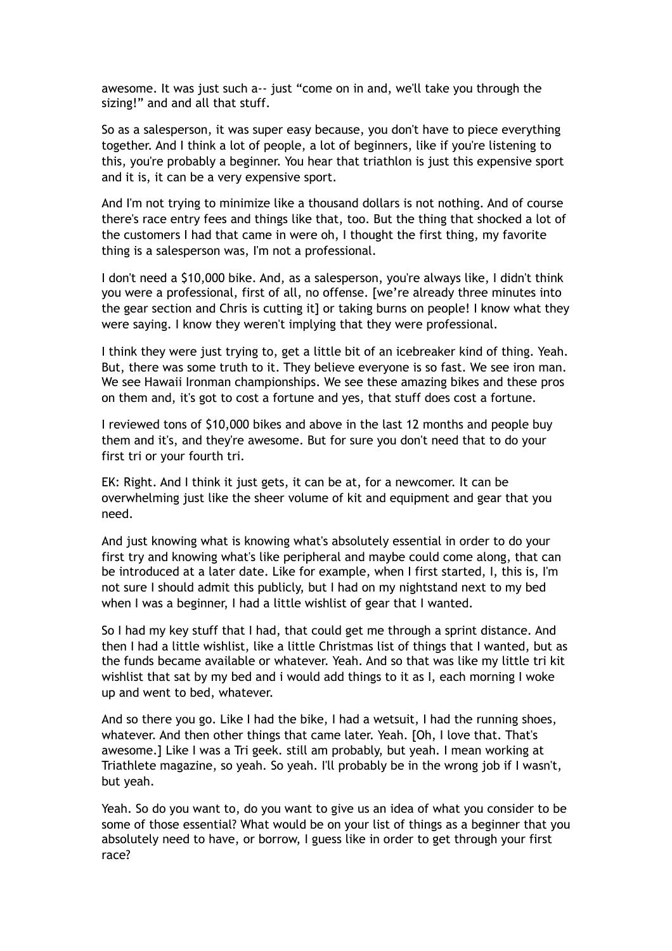awesome. It was just such a-- just "come on in and, we'll take you through the sizing!" and and all that stuff.

So as a salesperson, it was super easy because, you don't have to piece everything together. And I think a lot of people, a lot of beginners, like if you're listening to this, you're probably a beginner. You hear that triathlon is just this expensive sport and it is, it can be a very expensive sport.

And I'm not trying to minimize like a thousand dollars is not nothing. And of course there's race entry fees and things like that, too. But the thing that shocked a lot of the customers I had that came in were oh, I thought the first thing, my favorite thing is a salesperson was, I'm not a professional.

I don't need a \$10,000 bike. And, as a salesperson, you're always like, I didn't think you were a professional, first of all, no offense. [we're already three minutes into the gear section and Chris is cutting it] or taking burns on people! I know what they were saying. I know they weren't implying that they were professional.

I think they were just trying to, get a little bit of an icebreaker kind of thing. Yeah. But, there was some truth to it. They believe everyone is so fast. We see iron man. We see Hawaii Ironman championships. We see these amazing bikes and these pros on them and, it's got to cost a fortune and yes, that stuff does cost a fortune.

I reviewed tons of \$10,000 bikes and above in the last 12 months and people buy them and it's, and they're awesome. But for sure you don't need that to do your first tri or your fourth tri.

EK: Right. And I think it just gets, it can be at, for a newcomer. It can be overwhelming just like the sheer volume of kit and equipment and gear that you need.

And just knowing what is knowing what's absolutely essential in order to do your first try and knowing what's like peripheral and maybe could come along, that can be introduced at a later date. Like for example, when I first started, I, this is, I'm not sure I should admit this publicly, but I had on my nightstand next to my bed when I was a beginner, I had a little wishlist of gear that I wanted.

So I had my key stuff that I had, that could get me through a sprint distance. And then I had a little wishlist, like a little Christmas list of things that I wanted, but as the funds became available or whatever. Yeah. And so that was like my little tri kit wishlist that sat by my bed and i would add things to it as I, each morning I woke up and went to bed, whatever.

And so there you go. Like I had the bike, I had a wetsuit, I had the running shoes, whatever. And then other things that came later. Yeah. [Oh, I love that. That's awesome.] Like I was a Tri geek. still am probably, but yeah. I mean working at Triathlete magazine, so yeah. So yeah. I'll probably be in the wrong job if I wasn't, but yeah.

Yeah. So do you want to, do you want to give us an idea of what you consider to be some of those essential? What would be on your list of things as a beginner that you absolutely need to have, or borrow, I guess like in order to get through your first race?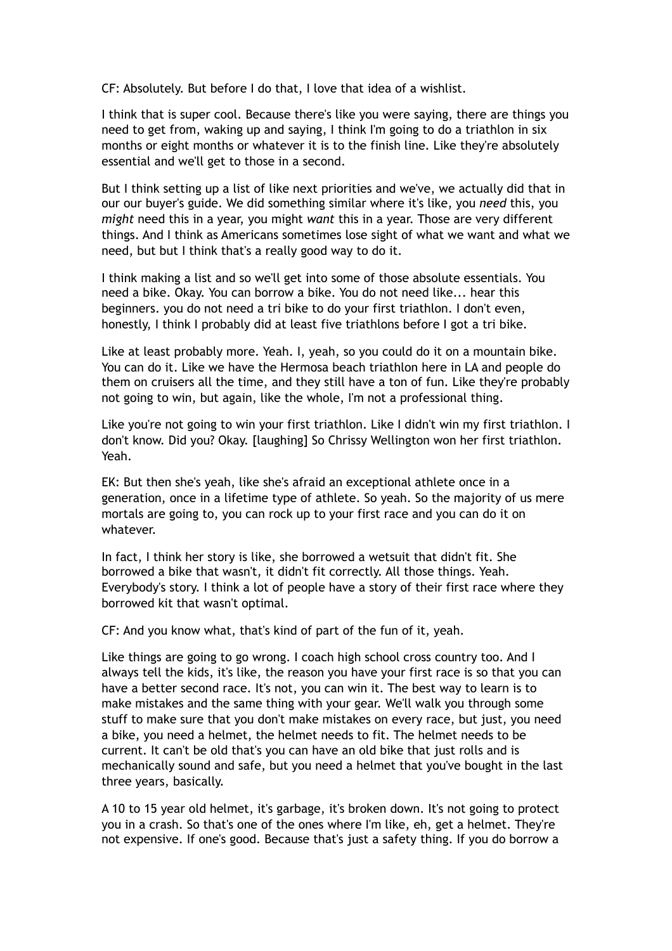CF: Absolutely. But before I do that, I love that idea of a wishlist.

I think that is super cool. Because there's like you were saying, there are things you need to get from, waking up and saying, I think I'm going to do a triathlon in six months or eight months or whatever it is to the finish line. Like they're absolutely essential and we'll get to those in a second.

But I think setting up a list of like next priorities and we've, we actually did that in our our buyer's guide. We did something similar where it's like, you *need* this, you *might* need this in a year, you might *want* this in a year. Those are very different things. And I think as Americans sometimes lose sight of what we want and what we need, but but I think that's a really good way to do it.

I think making a list and so we'll get into some of those absolute essentials. You need a bike. Okay. You can borrow a bike. You do not need like... hear this beginners. you do not need a tri bike to do your first triathlon. I don't even, honestly, I think I probably did at least five triathlons before I got a tri bike.

Like at least probably more. Yeah. I, yeah, so you could do it on a mountain bike. You can do it. Like we have the Hermosa beach triathlon here in LA and people do them on cruisers all the time, and they still have a ton of fun. Like they're probably not going to win, but again, like the whole, I'm not a professional thing.

Like you're not going to win your first triathlon. Like I didn't win my first triathlon. I don't know. Did you? Okay. [laughing] So Chrissy Wellington won her first triathlon. Yeah.

EK: But then she's yeah, like she's afraid an exceptional athlete once in a generation, once in a lifetime type of athlete. So yeah. So the majority of us mere mortals are going to, you can rock up to your first race and you can do it on whatever.

In fact, I think her story is like, she borrowed a wetsuit that didn't fit. She borrowed a bike that wasn't, it didn't fit correctly. All those things. Yeah. Everybody's story. I think a lot of people have a story of their first race where they borrowed kit that wasn't optimal.

CF: And you know what, that's kind of part of the fun of it, yeah.

Like things are going to go wrong. I coach high school cross country too. And I always tell the kids, it's like, the reason you have your first race is so that you can have a better second race. It's not, you can win it. The best way to learn is to make mistakes and the same thing with your gear. We'll walk you through some stuff to make sure that you don't make mistakes on every race, but just, you need a bike, you need a helmet, the helmet needs to fit. The helmet needs to be current. It can't be old that's you can have an old bike that just rolls and is mechanically sound and safe, but you need a helmet that you've bought in the last three years, basically.

A 10 to 15 year old helmet, it's garbage, it's broken down. It's not going to protect you in a crash. So that's one of the ones where I'm like, eh, get a helmet. They're not expensive. If one's good. Because that's just a safety thing. If you do borrow a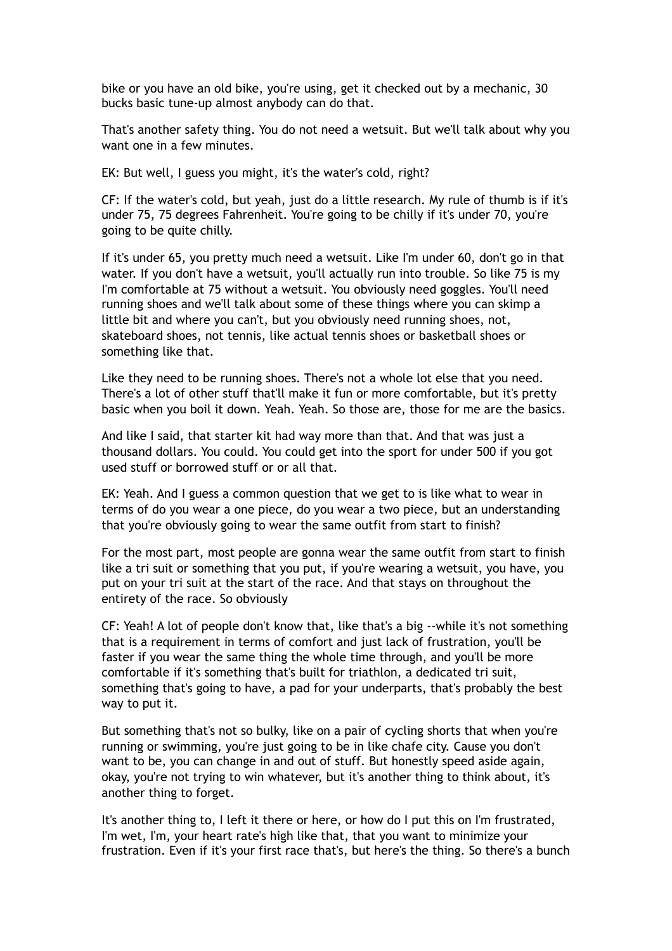bike or you have an old bike, you're using, get it checked out by a mechanic, 30 bucks basic tune-up almost anybody can do that.

That's another safety thing. You do not need a wetsuit. But we'll talk about why you want one in a few minutes

EK: But well, I guess you might, it's the water's cold, right?

CF: If the water's cold, but yeah, just do a little research. My rule of thumb is if it's under 75, 75 degrees Fahrenheit. You're going to be chilly if it's under 70, you're going to be quite chilly.

If it's under 65, you pretty much need a wetsuit. Like I'm under 60, don't go in that water. If you don't have a wetsuit, you'll actually run into trouble. So like 75 is my I'm comfortable at 75 without a wetsuit. You obviously need goggles. You'll need running shoes and we'll talk about some of these things where you can skimp a little bit and where you can't, but you obviously need running shoes, not, skateboard shoes, not tennis, like actual tennis shoes or basketball shoes or something like that.

Like they need to be running shoes. There's not a whole lot else that you need. There's a lot of other stuff that'll make it fun or more comfortable, but it's pretty basic when you boil it down. Yeah. Yeah. So those are, those for me are the basics.

And like I said, that starter kit had way more than that. And that was just a thousand dollars. You could. You could get into the sport for under 500 if you got used stuff or borrowed stuff or or all that.

EK: Yeah. And I guess a common question that we get to is like what to wear in terms of do you wear a one piece, do you wear a two piece, but an understanding that you're obviously going to wear the same outfit from start to finish?

For the most part, most people are gonna wear the same outfit from start to finish like a tri suit or something that you put, if you're wearing a wetsuit, you have, you put on your tri suit at the start of the race. And that stays on throughout the entirety of the race. So obviously

CF: Yeah! A lot of people don't know that, like that's a big --while it's not something that is a requirement in terms of comfort and just lack of frustration, you'll be faster if you wear the same thing the whole time through, and you'll be more comfortable if it's something that's built for triathlon, a dedicated tri suit, something that's going to have, a pad for your underparts, that's probably the best way to put it.

But something that's not so bulky, like on a pair of cycling shorts that when you're running or swimming, you're just going to be in like chafe city. Cause you don't want to be, you can change in and out of stuff. But honestly speed aside again, okay, you're not trying to win whatever, but it's another thing to think about, it's another thing to forget.

It's another thing to, I left it there or here, or how do I put this on I'm frustrated, I'm wet, I'm, your heart rate's high like that, that you want to minimize your frustration. Even if it's your first race that's, but here's the thing. So there's a bunch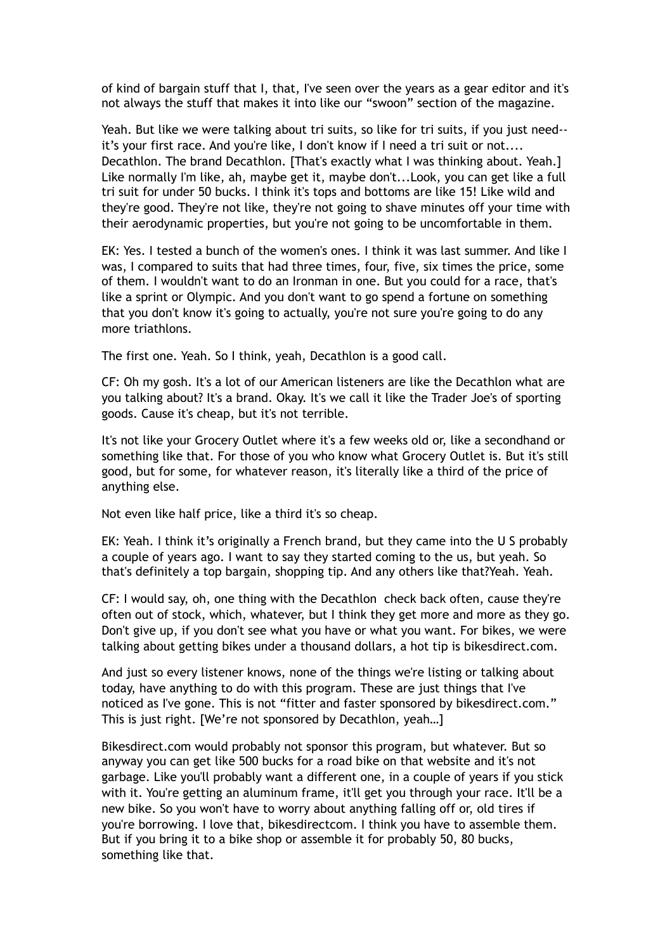of kind of bargain stuff that I, that, I've seen over the years as a gear editor and it's not always the stuff that makes it into like our "swoon" section of the magazine.

Yeah. But like we were talking about tri suits, so like for tri suits, if you just need- it's your first race. And you're like, I don't know if I need a tri suit or not.... Decathlon. The brand Decathlon. [That's exactly what I was thinking about. Yeah.] Like normally I'm like, ah, maybe get it, maybe don't...Look, you can get like a full tri suit for under 50 bucks. I think it's tops and bottoms are like 15! Like wild and they're good. They're not like, they're not going to shave minutes off your time with their aerodynamic properties, but you're not going to be uncomfortable in them.

EK: Yes. I tested a bunch of the women's ones. I think it was last summer. And like I was, I compared to suits that had three times, four, five, six times the price, some of them. I wouldn't want to do an Ironman in one. But you could for a race, that's like a sprint or Olympic. And you don't want to go spend a fortune on something that you don't know it's going to actually, you're not sure you're going to do any more triathlons.

The first one. Yeah. So I think, yeah, Decathlon is a good call.

CF: Oh my gosh. It's a lot of our American listeners are like the Decathlon what are you talking about? It's a brand. Okay. It's we call it like the Trader Joe's of sporting goods. Cause it's cheap, but it's not terrible.

It's not like your Grocery Outlet where it's a few weeks old or, like a secondhand or something like that. For those of you who know what Grocery Outlet is. But it's still good, but for some, for whatever reason, it's literally like a third of the price of anything else.

Not even like half price, like a third it's so cheap.

EK: Yeah. I think it's originally a French brand, but they came into the U S probably a couple of years ago. I want to say they started coming to the us, but yeah. So that's definitely a top bargain, shopping tip. And any others like that?Yeah. Yeah.

CF: I would say, oh, one thing with the Decathlon check back often, cause they're often out of stock, which, whatever, but I think they get more and more as they go. Don't give up, if you don't see what you have or what you want. For bikes, we were talking about getting bikes under a thousand dollars, a hot tip is bikesdirect.com.

And just so every listener knows, none of the things we're listing or talking about today, have anything to do with this program. These are just things that I've noticed as I've gone. This is not "fitter and faster sponsored by bikesdirect.com." This is just right. [We're not sponsored by Decathlon, yeah…]

Bikesdirect.com would probably not sponsor this program, but whatever. But so anyway you can get like 500 bucks for a road bike on that website and it's not garbage. Like you'll probably want a different one, in a couple of years if you stick with it. You're getting an aluminum frame, it'll get you through your race. It'll be a new bike. So you won't have to worry about anything falling off or, old tires if you're borrowing. I love that, bikesdirectcom. I think you have to assemble them. But if you bring it to a bike shop or assemble it for probably 50, 80 bucks, something like that.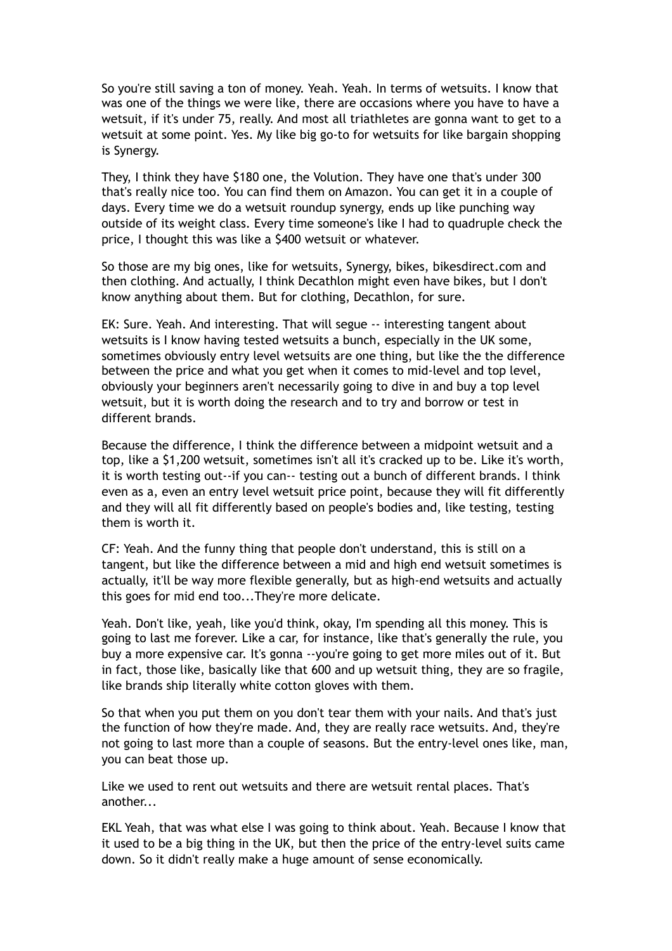So you're still saving a ton of money. Yeah. Yeah. In terms of wetsuits. I know that was one of the things we were like, there are occasions where you have to have a wetsuit, if it's under 75, really. And most all triathletes are gonna want to get to a wetsuit at some point. Yes. My like big go-to for wetsuits for like bargain shopping is Synergy.

They, I think they have \$180 one, the Volution. They have one that's under 300 that's really nice too. You can find them on Amazon. You can get it in a couple of days. Every time we do a wetsuit roundup synergy, ends up like punching way outside of its weight class. Every time someone's like I had to quadruple check the price, I thought this was like a \$400 wetsuit or whatever.

So those are my big ones, like for wetsuits, Synergy, bikes, bikesdirect.com and then clothing. And actually, I think Decathlon might even have bikes, but I don't know anything about them. But for clothing, Decathlon, for sure.

EK: Sure. Yeah. And interesting. That will segue -- interesting tangent about wetsuits is I know having tested wetsuits a bunch, especially in the UK some, sometimes obviously entry level wetsuits are one thing, but like the the difference between the price and what you get when it comes to mid-level and top level, obviously your beginners aren't necessarily going to dive in and buy a top level wetsuit, but it is worth doing the research and to try and borrow or test in different brands.

Because the difference, I think the difference between a midpoint wetsuit and a top, like a \$1,200 wetsuit, sometimes isn't all it's cracked up to be. Like it's worth, it is worth testing out--if you can-- testing out a bunch of different brands. I think even as a, even an entry level wetsuit price point, because they will fit differently and they will all fit differently based on people's bodies and, like testing, testing them is worth it.

CF: Yeah. And the funny thing that people don't understand, this is still on a tangent, but like the difference between a mid and high end wetsuit sometimes is actually, it'll be way more flexible generally, but as high-end wetsuits and actually this goes for mid end too...They're more delicate.

Yeah. Don't like, yeah, like you'd think, okay, I'm spending all this money. This is going to last me forever. Like a car, for instance, like that's generally the rule, you buy a more expensive car. It's gonna --you're going to get more miles out of it. But in fact, those like, basically like that 600 and up wetsuit thing, they are so fragile, like brands ship literally white cotton gloves with them.

So that when you put them on you don't tear them with your nails. And that's just the function of how they're made. And, they are really race wetsuits. And, they're not going to last more than a couple of seasons. But the entry-level ones like, man, you can beat those up.

Like we used to rent out wetsuits and there are wetsuit rental places. That's another...

EKL Yeah, that was what else I was going to think about. Yeah. Because I know that it used to be a big thing in the UK, but then the price of the entry-level suits came down. So it didn't really make a huge amount of sense economically.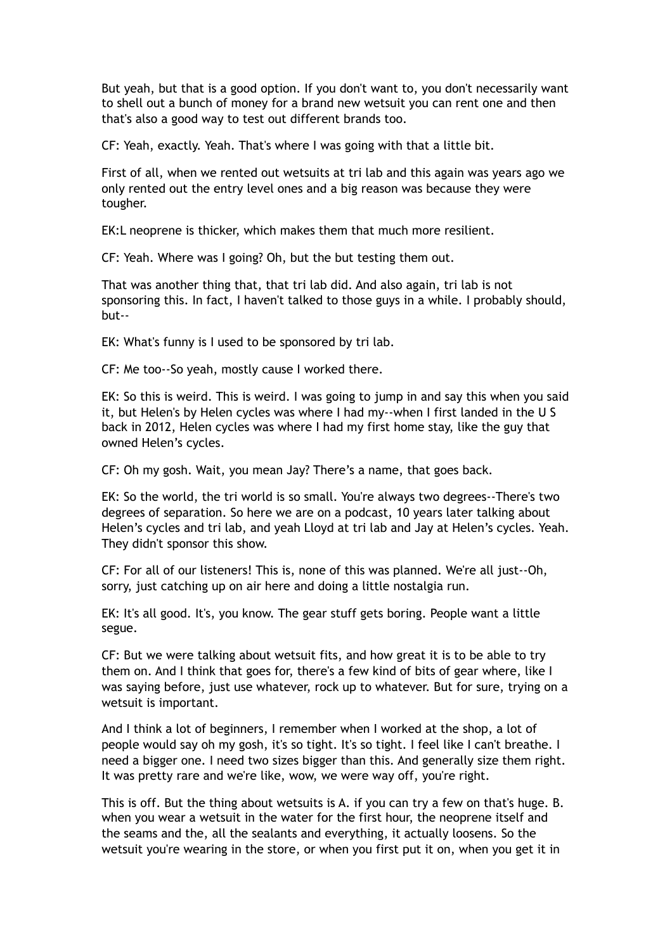But yeah, but that is a good option. If you don't want to, you don't necessarily want to shell out a bunch of money for a brand new wetsuit you can rent one and then that's also a good way to test out different brands too.

CF: Yeah, exactly. Yeah. That's where I was going with that a little bit.

First of all, when we rented out wetsuits at tri lab and this again was years ago we only rented out the entry level ones and a big reason was because they were tougher.

EK:L neoprene is thicker, which makes them that much more resilient.

CF: Yeah. Where was I going? Oh, but the but testing them out.

That was another thing that, that tri lab did. And also again, tri lab is not sponsoring this. In fact, I haven't talked to those guys in a while. I probably should, but--

EK: What's funny is I used to be sponsored by tri lab.

CF: Me too--So yeah, mostly cause I worked there.

EK: So this is weird. This is weird. I was going to jump in and say this when you said it, but Helen's by Helen cycles was where I had my--when I first landed in the U S back in 2012, Helen cycles was where I had my first home stay, like the guy that owned Helen's cycles.

CF: Oh my gosh. Wait, you mean Jay? There's a name, that goes back.

EK: So the world, the tri world is so small. You're always two degrees--There's two degrees of separation. So here we are on a podcast, 10 years later talking about Helen's cycles and tri lab, and yeah Lloyd at tri lab and Jay at Helen's cycles. Yeah. They didn't sponsor this show.

CF: For all of our listeners! This is, none of this was planned. We're all just--Oh, sorry, just catching up on air here and doing a little nostalgia run.

EK: It's all good. It's, you know. The gear stuff gets boring. People want a little segue.

CF: But we were talking about wetsuit fits, and how great it is to be able to try them on. And I think that goes for, there's a few kind of bits of gear where, like I was saying before, just use whatever, rock up to whatever. But for sure, trying on a wetsuit is important.

And I think a lot of beginners, I remember when I worked at the shop, a lot of people would say oh my gosh, it's so tight. It's so tight. I feel like I can't breathe. I need a bigger one. I need two sizes bigger than this. And generally size them right. It was pretty rare and we're like, wow, we were way off, you're right.

This is off. But the thing about wetsuits is A. if you can try a few on that's huge. B. when you wear a wetsuit in the water for the first hour, the neoprene itself and the seams and the, all the sealants and everything, it actually loosens. So the wetsuit you're wearing in the store, or when you first put it on, when you get it in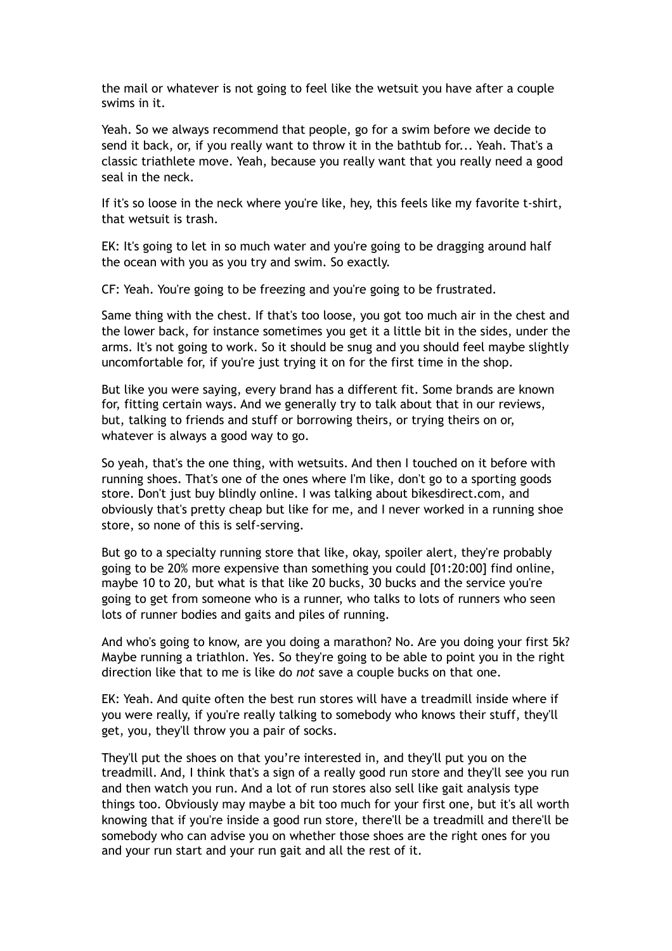the mail or whatever is not going to feel like the wetsuit you have after a couple swims in it.

Yeah. So we always recommend that people, go for a swim before we decide to send it back, or, if you really want to throw it in the bathtub for... Yeah. That's a classic triathlete move. Yeah, because you really want that you really need a good seal in the neck.

If it's so loose in the neck where you're like, hey, this feels like my favorite t-shirt, that wetsuit is trash.

EK: It's going to let in so much water and you're going to be dragging around half the ocean with you as you try and swim. So exactly.

CF: Yeah. You're going to be freezing and you're going to be frustrated.

Same thing with the chest. If that's too loose, you got too much air in the chest and the lower back, for instance sometimes you get it a little bit in the sides, under the arms. It's not going to work. So it should be snug and you should feel maybe slightly uncomfortable for, if you're just trying it on for the first time in the shop.

But like you were saying, every brand has a different fit. Some brands are known for, fitting certain ways. And we generally try to talk about that in our reviews, but, talking to friends and stuff or borrowing theirs, or trying theirs on or, whatever is always a good way to go.

So yeah, that's the one thing, with wetsuits. And then I touched on it before with running shoes. That's one of the ones where I'm like, don't go to a sporting goods store. Don't just buy blindly online. I was talking about bikesdirect.com, and obviously that's pretty cheap but like for me, and I never worked in a running shoe store, so none of this is self-serving.

But go to a specialty running store that like, okay, spoiler alert, they're probably going to be 20% more expensive than something you could [01:20:00] find online, maybe 10 to 20, but what is that like 20 bucks, 30 bucks and the service you're going to get from someone who is a runner, who talks to lots of runners who seen lots of runner bodies and gaits and piles of running.

And who's going to know, are you doing a marathon? No. Are you doing your first 5k? Maybe running a triathlon. Yes. So they're going to be able to point you in the right direction like that to me is like do *not* save a couple bucks on that one.

EK: Yeah. And quite often the best run stores will have a treadmill inside where if you were really, if you're really talking to somebody who knows their stuff, they'll get, you, they'll throw you a pair of socks.

They'll put the shoes on that you're interested in, and they'll put you on the treadmill. And, I think that's a sign of a really good run store and they'll see you run and then watch you run. And a lot of run stores also sell like gait analysis type things too. Obviously may maybe a bit too much for your first one, but it's all worth knowing that if you're inside a good run store, there'll be a treadmill and there'll be somebody who can advise you on whether those shoes are the right ones for you and your run start and your run gait and all the rest of it.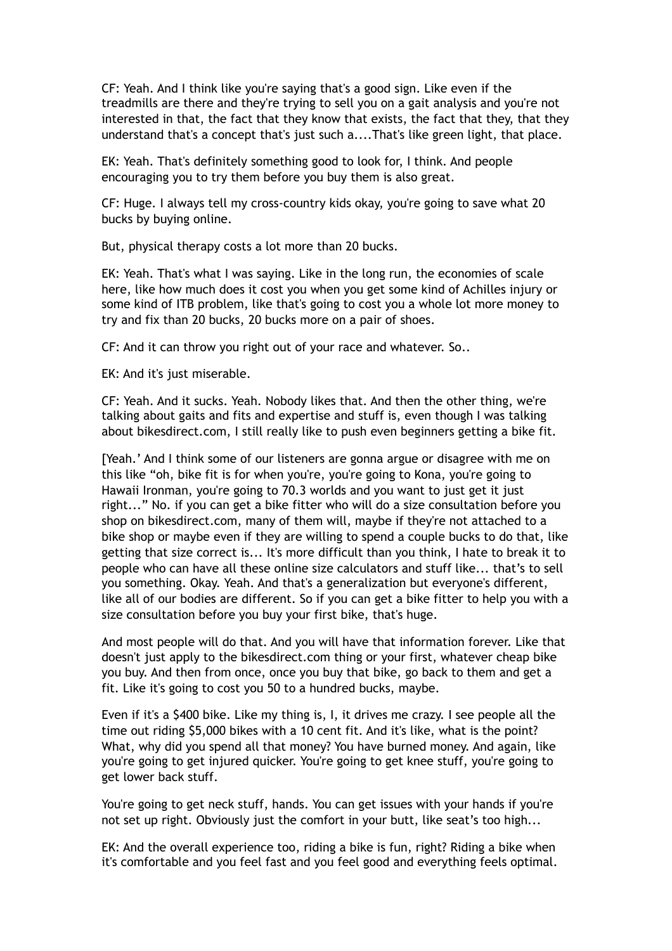CF: Yeah. And I think like you're saying that's a good sign. Like even if the treadmills are there and they're trying to sell you on a gait analysis and you're not interested in that, the fact that they know that exists, the fact that they, that they understand that's a concept that's just such a....That's like green light, that place.

EK: Yeah. That's definitely something good to look for, I think. And people encouraging you to try them before you buy them is also great.

CF: Huge. I always tell my cross-country kids okay, you're going to save what 20 bucks by buying online.

But, physical therapy costs a lot more than 20 bucks.

EK: Yeah. That's what I was saying. Like in the long run, the economies of scale here, like how much does it cost you when you get some kind of Achilles injury or some kind of ITB problem, like that's going to cost you a whole lot more money to try and fix than 20 bucks, 20 bucks more on a pair of shoes.

CF: And it can throw you right out of your race and whatever. So..

EK: And it's just miserable.

CF: Yeah. And it sucks. Yeah. Nobody likes that. And then the other thing, we're talking about gaits and fits and expertise and stuff is, even though I was talking about bikesdirect.com, I still really like to push even beginners getting a bike fit.

[Yeah.' And I think some of our listeners are gonna argue or disagree with me on this like "oh, bike fit is for when you're, you're going to Kona, you're going to Hawaii Ironman, you're going to 70.3 worlds and you want to just get it just right..." No. if you can get a bike fitter who will do a size consultation before you shop on bikesdirect.com, many of them will, maybe if they're not attached to a bike shop or maybe even if they are willing to spend a couple bucks to do that, like getting that size correct is... It's more difficult than you think, I hate to break it to people who can have all these online size calculators and stuff like... that's to sell you something. Okay. Yeah. And that's a generalization but everyone's different, like all of our bodies are different. So if you can get a bike fitter to help you with a size consultation before you buy your first bike, that's huge.

And most people will do that. And you will have that information forever. Like that doesn't just apply to the bikesdirect.com thing or your first, whatever cheap bike you buy. And then from once, once you buy that bike, go back to them and get a fit. Like it's going to cost you 50 to a hundred bucks, maybe.

Even if it's a \$400 bike. Like my thing is, I, it drives me crazy. I see people all the time out riding \$5,000 bikes with a 10 cent fit. And it's like, what is the point? What, why did you spend all that money? You have burned money. And again, like you're going to get injured quicker. You're going to get knee stuff, you're going to get lower back stuff.

You're going to get neck stuff, hands. You can get issues with your hands if you're not set up right. Obviously just the comfort in your butt, like seat's too high...

EK: And the overall experience too, riding a bike is fun, right? Riding a bike when it's comfortable and you feel fast and you feel good and everything feels optimal.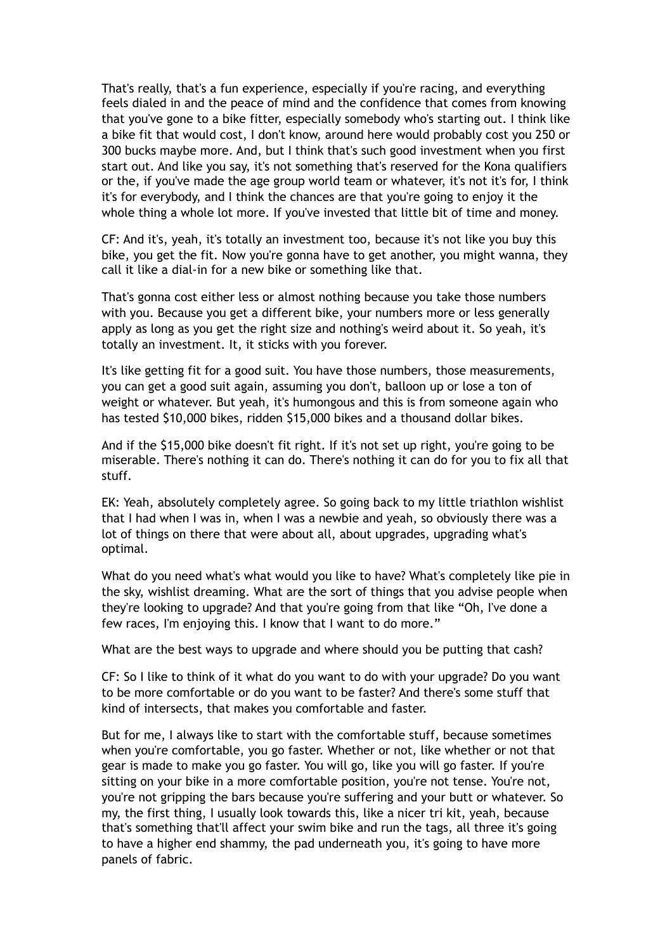That's really, that's a fun experience, especially if you're racing, and everything feels dialed in and the peace of mind and the confidence that comes from knowing that you've gone to a bike fitter, especially somebody who's starting out. I think like a bike fit that would cost, I don't know, around here would probably cost you 250 or 300 bucks maybe more. And, but I think that's such good investment when you first start out. And like you say, it's not something that's reserved for the Kona qualifiers or the, if you've made the age group world team or whatever, it's not it's for, I think it's for everybody, and I think the chances are that you're going to enjoy it the whole thing a whole lot more. If you've invested that little bit of time and money.

CF: And it's, yeah, it's totally an investment too, because it's not like you buy this bike, you get the fit. Now you're gonna have to get another, you might wanna, they call it like a dial-in for a new bike or something like that.

That's gonna cost either less or almost nothing because you take those numbers with you. Because you get a different bike, your numbers more or less generally apply as long as you get the right size and nothing's weird about it. So yeah, it's totally an investment. It, it sticks with you forever.

It's like getting fit for a good suit. You have those numbers, those measurements, you can get a good suit again, assuming you don't, balloon up or lose a ton of weight or whatever. But yeah, it's humongous and this is from someone again who has tested \$10,000 bikes, ridden \$15,000 bikes and a thousand dollar bikes.

And if the \$15,000 bike doesn't fit right. If it's not set up right, you're going to be miserable. There's nothing it can do. There's nothing it can do for you to fix all that stuff.

EK: Yeah, absolutely completely agree. So going back to my little triathlon wishlist that I had when I was in, when I was a newbie and yeah, so obviously there was a lot of things on there that were about all, about upgrades, upgrading what's optimal.

What do you need what's what would you like to have? What's completely like pie in the sky, wishlist dreaming. What are the sort of things that you advise people when they're looking to upgrade? And that you're going from that like "Oh, I've done a few races, I'm enjoying this. I know that I want to do more."

What are the best ways to upgrade and where should you be putting that cash?

CF: So I like to think of it what do you want to do with your upgrade? Do you want to be more comfortable or do you want to be faster? And there's some stuff that kind of intersects, that makes you comfortable and faster.

But for me, I always like to start with the comfortable stuff, because sometimes when you're comfortable, you go faster. Whether or not, like whether or not that gear is made to make you go faster. You will go, like you will go faster. If you're sitting on your bike in a more comfortable position, you're not tense. You're not, you're not gripping the bars because you're suffering and your butt or whatever. So my, the first thing, I usually look towards this, like a nicer tri kit, yeah, because that's something that'll affect your swim bike and run the tags, all three it's going to have a higher end shammy, the pad underneath you, it's going to have more panels of fabric.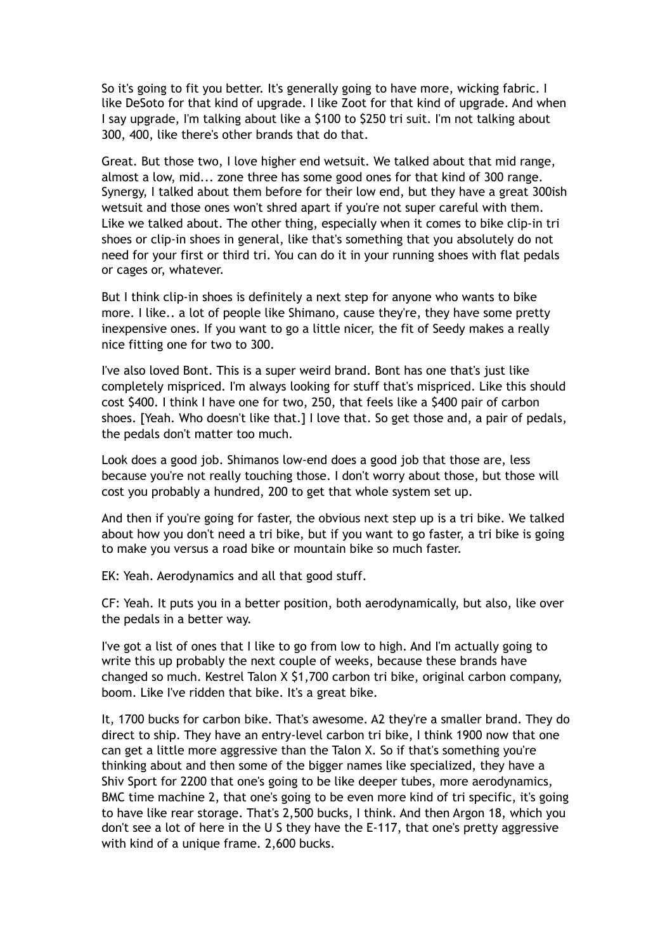So it's going to fit you better. It's generally going to have more, wicking fabric. I like DeSoto for that kind of upgrade. I like Zoot for that kind of upgrade. And when I say upgrade, I'm talking about like a \$100 to \$250 tri suit. I'm not talking about 300, 400, like there's other brands that do that.

Great. But those two, I love higher end wetsuit. We talked about that mid range, almost a low, mid... zone three has some good ones for that kind of 300 range. Synergy, I talked about them before for their low end, but they have a great 300ish wetsuit and those ones won't shred apart if you're not super careful with them. Like we talked about. The other thing, especially when it comes to bike clip-in tri shoes or clip-in shoes in general, like that's something that you absolutely do not need for your first or third tri. You can do it in your running shoes with flat pedals or cages or, whatever.

But I think clip-in shoes is definitely a next step for anyone who wants to bike more. I like.. a lot of people like Shimano, cause they're, they have some pretty inexpensive ones. If you want to go a little nicer, the fit of Seedy makes a really nice fitting one for two to 300.

I've also loved Bont. This is a super weird brand. Bont has one that's just like completely mispriced. I'm always looking for stuff that's mispriced. Like this should cost \$400. I think I have one for two, 250, that feels like a \$400 pair of carbon shoes. [Yeah. Who doesn't like that.] I love that. So get those and, a pair of pedals, the pedals don't matter too much.

Look does a good job. Shimanos low-end does a good job that those are, less because you're not really touching those. I don't worry about those, but those will cost you probably a hundred, 200 to get that whole system set up.

And then if you're going for faster, the obvious next step up is a tri bike. We talked about how you don't need a tri bike, but if you want to go faster, a tri bike is going to make you versus a road bike or mountain bike so much faster.

EK: Yeah. Aerodynamics and all that good stuff.

CF: Yeah. It puts you in a better position, both aerodynamically, but also, like over the pedals in a better way.

I've got a list of ones that I like to go from low to high. And I'm actually going to write this up probably the next couple of weeks, because these brands have changed so much. Kestrel Talon X \$1,700 carbon tri bike, original carbon company, boom. Like I've ridden that bike. It's a great bike.

It, 1700 bucks for carbon bike. That's awesome. A2 they're a smaller brand. They do direct to ship. They have an entry-level carbon tri bike, I think 1900 now that one can get a little more aggressive than the Talon X. So if that's something you're thinking about and then some of the bigger names like specialized, they have a Shiv Sport for 2200 that one's going to be like deeper tubes, more aerodynamics, BMC time machine 2, that one's going to be even more kind of tri specific, it's going to have like rear storage. That's 2,500 bucks, I think. And then Argon 18, which you don't see a lot of here in the U S they have the E-117, that one's pretty aggressive with kind of a unique frame. 2,600 bucks.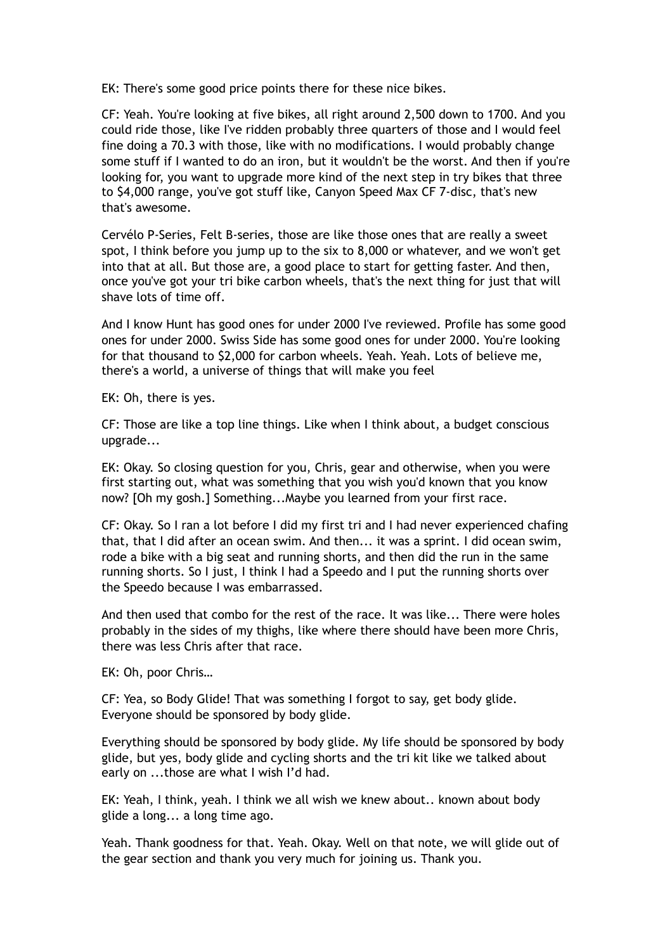EK: There's some good price points there for these nice bikes.

CF: Yeah. You're looking at five bikes, all right around 2,500 down to 1700. And you could ride those, like I've ridden probably three quarters of those and I would feel fine doing a 70.3 with those, like with no modifications. I would probably change some stuff if I wanted to do an iron, but it wouldn't be the worst. And then if you're looking for, you want to upgrade more kind of the next step in try bikes that three to \$4,000 range, you've got stuff like, Canyon Speed Max CF 7-disc, that's new that's awesome.

Cervélo P-Series, Felt B-series, those are like those ones that are really a sweet spot, I think before you jump up to the six to 8,000 or whatever, and we won't get into that at all. But those are, a good place to start for getting faster. And then, once you've got your tri bike carbon wheels, that's the next thing for just that will shave lots of time off.

And I know Hunt has good ones for under 2000 I've reviewed. Profile has some good ones for under 2000. Swiss Side has some good ones for under 2000. You're looking for that thousand to \$2,000 for carbon wheels. Yeah. Yeah. Lots of believe me, there's a world, a universe of things that will make you feel

EK: Oh, there is yes.

CF: Those are like a top line things. Like when I think about, a budget conscious upgrade...

EK: Okay. So closing question for you, Chris, gear and otherwise, when you were first starting out, what was something that you wish you'd known that you know now? [Oh my gosh.] Something...Maybe you learned from your first race.

CF: Okay. So I ran a lot before I did my first tri and I had never experienced chafing that, that I did after an ocean swim. And then... it was a sprint. I did ocean swim, rode a bike with a big seat and running shorts, and then did the run in the same running shorts. So I just, I think I had a Speedo and I put the running shorts over the Speedo because I was embarrassed.

And then used that combo for the rest of the race. It was like... There were holes probably in the sides of my thighs, like where there should have been more Chris, there was less Chris after that race.

EK: Oh, poor Chris…

CF: Yea, so Body Glide! That was something I forgot to say, get body glide. Everyone should be sponsored by body glide.

Everything should be sponsored by body glide. My life should be sponsored by body glide, but yes, body glide and cycling shorts and the tri kit like we talked about early on ...those are what I wish I'd had.

EK: Yeah, I think, yeah. I think we all wish we knew about.. known about body glide a long... a long time ago.

Yeah. Thank goodness for that. Yeah. Okay. Well on that note, we will glide out of the gear section and thank you very much for joining us. Thank you.